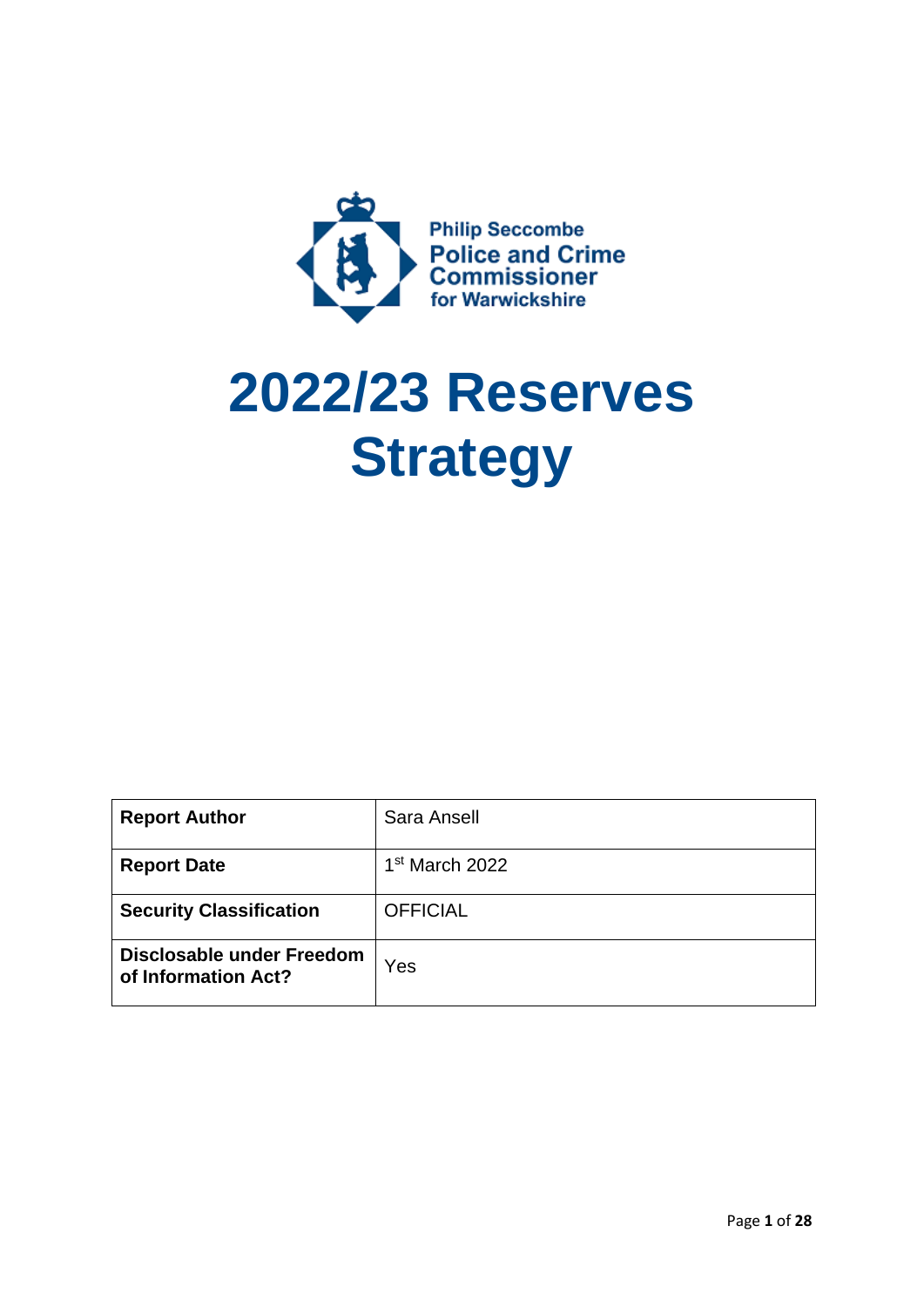

# **2022/23 Reserves Strategy**

| <b>Report Author</b>                             | Sara Ansell                |
|--------------------------------------------------|----------------------------|
| <b>Report Date</b>                               | 1 <sup>st</sup> March 2022 |
| <b>Security Classification</b>                   | <b>OFFICIAL</b>            |
| Disclosable under Freedom<br>of Information Act? | Yes                        |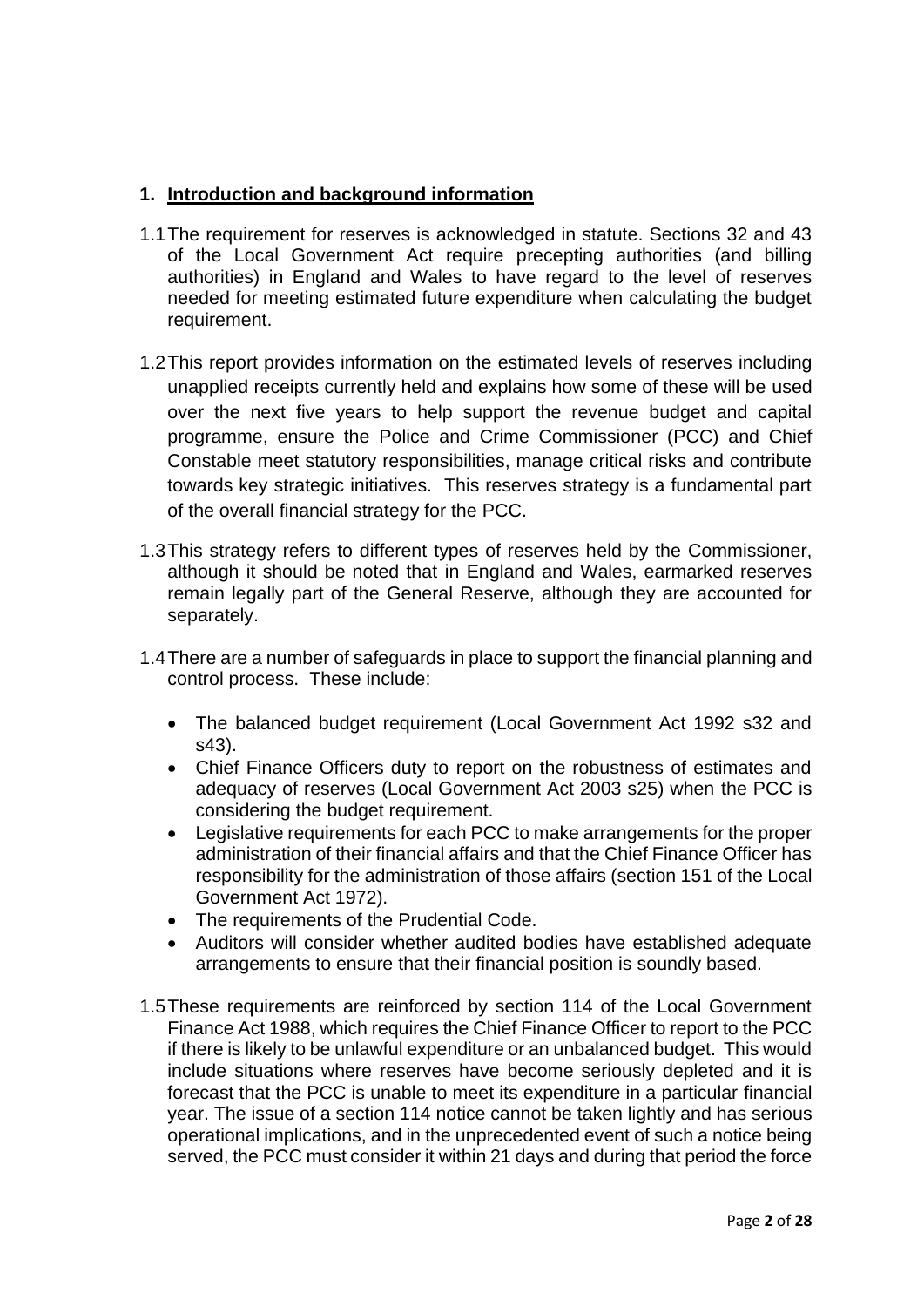## **1. Introduction and background information**

- 1.1The requirement for reserves is acknowledged in statute. Sections 32 and 43 of the Local Government Act require precepting authorities (and billing authorities) in England and Wales to have regard to the level of reserves needed for meeting estimated future expenditure when calculating the budget requirement.
- 1.2This report provides information on the estimated levels of reserves including unapplied receipts currently held and explains how some of these will be used over the next five years to help support the revenue budget and capital programme, ensure the Police and Crime Commissioner (PCC) and Chief Constable meet statutory responsibilities, manage critical risks and contribute towards key strategic initiatives. This reserves strategy is a fundamental part of the overall financial strategy for the PCC.
- 1.3This strategy refers to different types of reserves held by the Commissioner, although it should be noted that in England and Wales, earmarked reserves remain legally part of the General Reserve, although they are accounted for separately.
- 1.4There are a number of safeguards in place to support the financial planning and control process. These include:
	- The balanced budget requirement (Local Government Act 1992 s32 and s43).
	- Chief Finance Officers duty to report on the robustness of estimates and adequacy of reserves (Local Government Act 2003 s25) when the PCC is considering the budget requirement.
	- Legislative requirements for each PCC to make arrangements for the proper administration of their financial affairs and that the Chief Finance Officer has responsibility for the administration of those affairs (section 151 of the Local Government Act 1972).
	- The requirements of the Prudential Code.
	- Auditors will consider whether audited bodies have established adequate arrangements to ensure that their financial position is soundly based.
- 1.5These requirements are reinforced by section 114 of the Local Government Finance Act 1988, which requires the Chief Finance Officer to report to the PCC if there is likely to be unlawful expenditure or an unbalanced budget. This would include situations where reserves have become seriously depleted and it is forecast that the PCC is unable to meet its expenditure in a particular financial year. The issue of a section 114 notice cannot be taken lightly and has serious operational implications, and in the unprecedented event of such a notice being served, the PCC must consider it within 21 days and during that period the force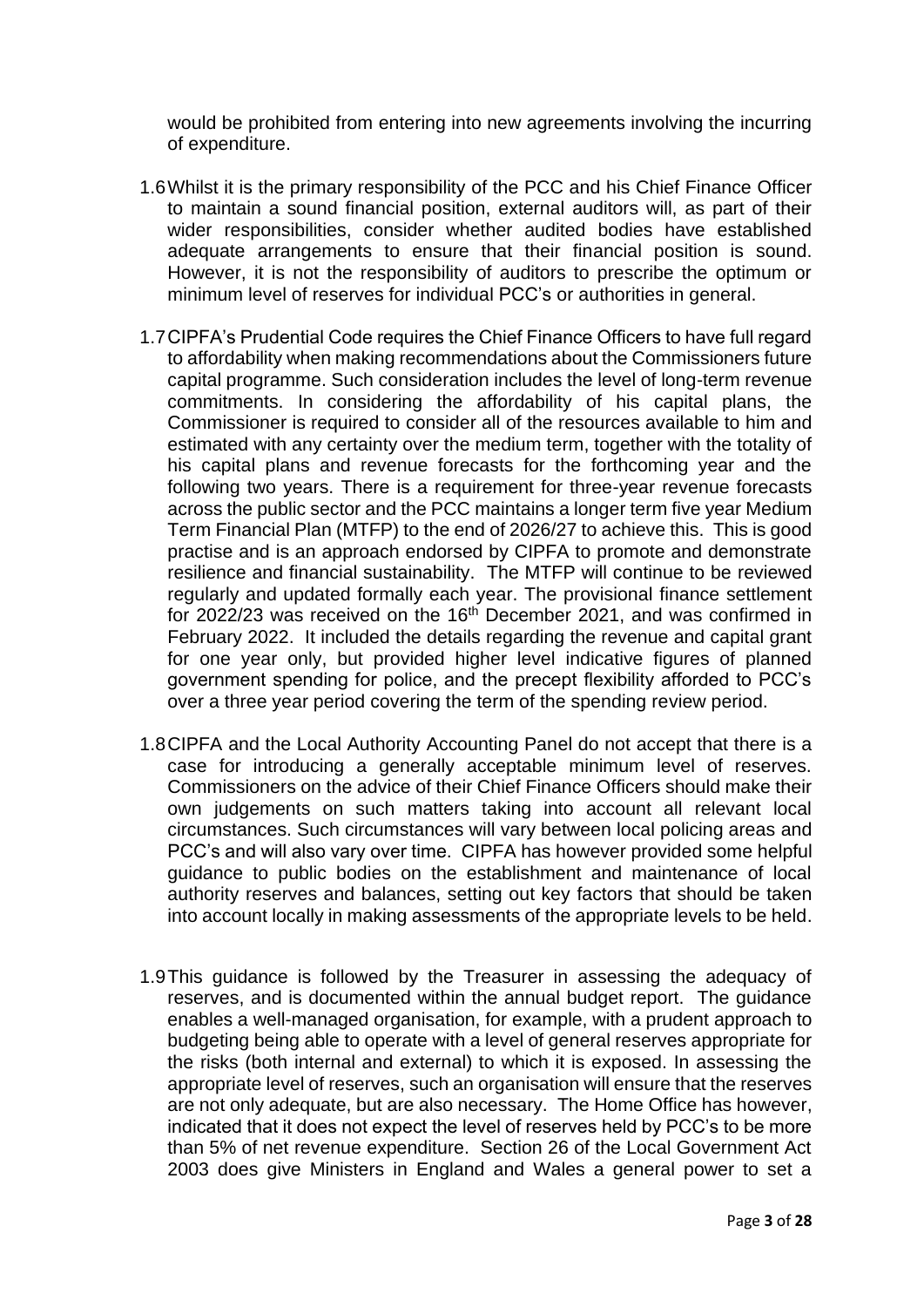would be prohibited from entering into new agreements involving the incurring of expenditure.

- 1.6Whilst it is the primary responsibility of the PCC and his Chief Finance Officer to maintain a sound financial position, external auditors will, as part of their wider responsibilities, consider whether audited bodies have established adequate arrangements to ensure that their financial position is sound. However, it is not the responsibility of auditors to prescribe the optimum or minimum level of reserves for individual PCC's or authorities in general.
- 1.7CIPFA's Prudential Code requires the Chief Finance Officers to have full regard to affordability when making recommendations about the Commissioners future capital programme. Such consideration includes the level of long-term revenue commitments. In considering the affordability of his capital plans, the Commissioner is required to consider all of the resources available to him and estimated with any certainty over the medium term, together with the totality of his capital plans and revenue forecasts for the forthcoming year and the following two years. There is a requirement for three-year revenue forecasts across the public sector and the PCC maintains a longer term five year Medium Term Financial Plan (MTFP) to the end of 2026/27 to achieve this. This is good practise and is an approach endorsed by CIPFA to promote and demonstrate resilience and financial sustainability. The MTFP will continue to be reviewed regularly and updated formally each year. The provisional finance settlement for 2022/23 was received on the 16<sup>th</sup> December 2021, and was confirmed in February 2022. It included the details regarding the revenue and capital grant for one year only, but provided higher level indicative figures of planned government spending for police, and the precept flexibility afforded to PCC's over a three year period covering the term of the spending review period.
- 1.8CIPFA and the Local Authority Accounting Panel do not accept that there is a case for introducing a generally acceptable minimum level of reserves. Commissioners on the advice of their Chief Finance Officers should make their own judgements on such matters taking into account all relevant local circumstances. Such circumstances will vary between local policing areas and PCC's and will also vary over time. CIPFA has however provided some helpful guidance to public bodies on the establishment and maintenance of local authority reserves and balances, setting out key factors that should be taken into account locally in making assessments of the appropriate levels to be held.
- 1.9This guidance is followed by the Treasurer in assessing the adequacy of reserves, and is documented within the annual budget report. The guidance enables a well-managed organisation, for example, with a prudent approach to budgeting being able to operate with a level of general reserves appropriate for the risks (both internal and external) to which it is exposed. In assessing the appropriate level of reserves, such an organisation will ensure that the reserves are not only adequate, but are also necessary. The Home Office has however, indicated that it does not expect the level of reserves held by PCC's to be more than 5% of net revenue expenditure. Section 26 of the Local Government Act 2003 does give Ministers in England and Wales a general power to set a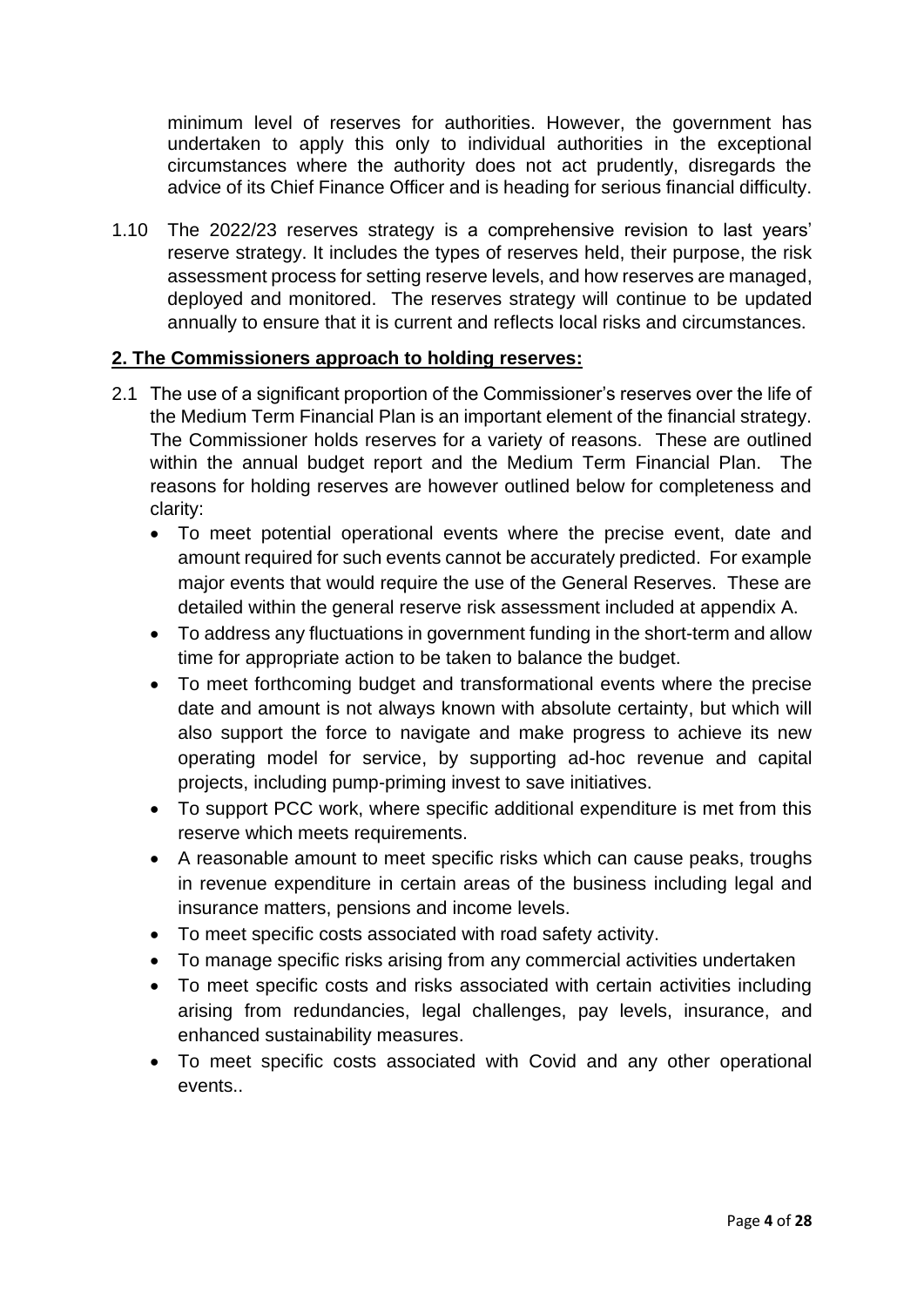minimum level of reserves for authorities. However, the government has undertaken to apply this only to individual authorities in the exceptional circumstances where the authority does not act prudently, disregards the advice of its Chief Finance Officer and is heading for serious financial difficulty.

1.10 The 2022/23 reserves strategy is a comprehensive revision to last years' reserve strategy. It includes the types of reserves held, their purpose, the risk assessment process for setting reserve levels, and how reserves are managed, deployed and monitored. The reserves strategy will continue to be updated annually to ensure that it is current and reflects local risks and circumstances.

## **2. The Commissioners approach to holding reserves:**

- 2.1 The use of a significant proportion of the Commissioner's reserves over the life of the Medium Term Financial Plan is an important element of the financial strategy. The Commissioner holds reserves for a variety of reasons. These are outlined within the annual budget report and the Medium Term Financial Plan. The reasons for holding reserves are however outlined below for completeness and clarity:
	- To meet potential operational events where the precise event, date and amount required for such events cannot be accurately predicted. For example major events that would require the use of the General Reserves. These are detailed within the general reserve risk assessment included at appendix A.
	- To address any fluctuations in government funding in the short-term and allow time for appropriate action to be taken to balance the budget.
	- To meet forthcoming budget and transformational events where the precise date and amount is not always known with absolute certainty, but which will also support the force to navigate and make progress to achieve its new operating model for service, by supporting ad-hoc revenue and capital projects, including pump-priming invest to save initiatives.
	- To support PCC work, where specific additional expenditure is met from this reserve which meets requirements.
	- A reasonable amount to meet specific risks which can cause peaks, troughs in revenue expenditure in certain areas of the business including legal and insurance matters, pensions and income levels.
	- To meet specific costs associated with road safety activity.
	- To manage specific risks arising from any commercial activities undertaken
	- To meet specific costs and risks associated with certain activities including arising from redundancies, legal challenges, pay levels, insurance, and enhanced sustainability measures.
	- To meet specific costs associated with Covid and any other operational events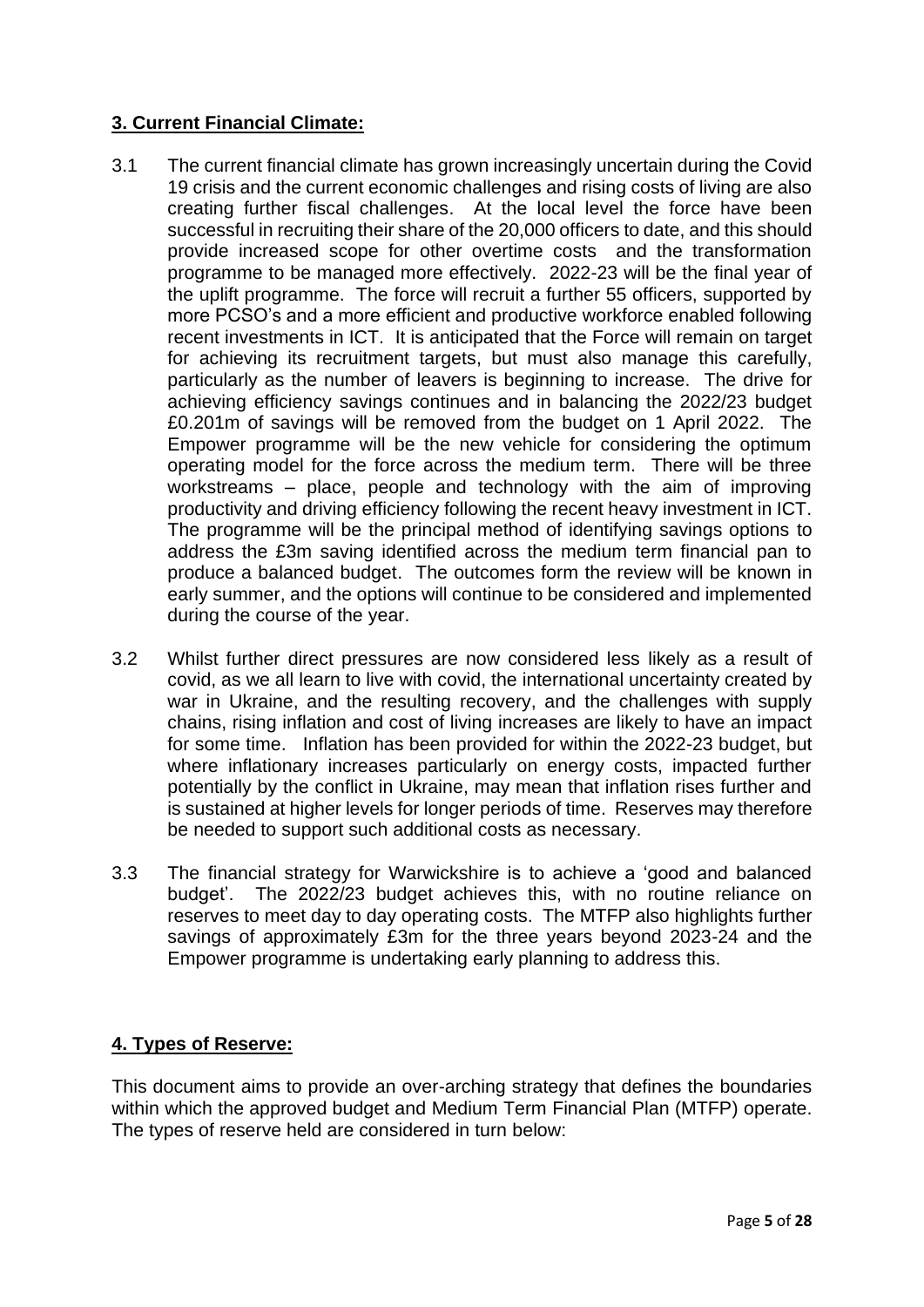# **3. Current Financial Climate:**

- 3.1 The current financial climate has grown increasingly uncertain during the Covid 19 crisis and the current economic challenges and rising costs of living are also creating further fiscal challenges. At the local level the force have been successful in recruiting their share of the 20,000 officers to date, and this should provide increased scope for other overtime costs and the transformation programme to be managed more effectively. 2022-23 will be the final year of the uplift programme. The force will recruit a further 55 officers, supported by more PCSO's and a more efficient and productive workforce enabled following recent investments in ICT. It is anticipated that the Force will remain on target for achieving its recruitment targets, but must also manage this carefully, particularly as the number of leavers is beginning to increase. The drive for achieving efficiency savings continues and in balancing the 2022/23 budget £0.201m of savings will be removed from the budget on 1 April 2022. The Empower programme will be the new vehicle for considering the optimum operating model for the force across the medium term. There will be three workstreams – place, people and technology with the aim of improving productivity and driving efficiency following the recent heavy investment in ICT. The programme will be the principal method of identifying savings options to address the £3m saving identified across the medium term financial pan to produce a balanced budget. The outcomes form the review will be known in early summer, and the options will continue to be considered and implemented during the course of the year.
- 3.2 Whilst further direct pressures are now considered less likely as a result of covid, as we all learn to live with covid, the international uncertainty created by war in Ukraine, and the resulting recovery, and the challenges with supply chains, rising inflation and cost of living increases are likely to have an impact for some time. Inflation has been provided for within the 2022-23 budget, but where inflationary increases particularly on energy costs, impacted further potentially by the conflict in Ukraine, may mean that inflation rises further and is sustained at higher levels for longer periods of time. Reserves may therefore be needed to support such additional costs as necessary.
- 3.3 The financial strategy for Warwickshire is to achieve a 'good and balanced budget'. The 2022/23 budget achieves this, with no routine reliance on reserves to meet day to day operating costs. The MTFP also highlights further savings of approximately £3m for the three years beyond 2023-24 and the Empower programme is undertaking early planning to address this.

# **4. Types of Reserve:**

This document aims to provide an over-arching strategy that defines the boundaries within which the approved budget and Medium Term Financial Plan (MTFP) operate. The types of reserve held are considered in turn below: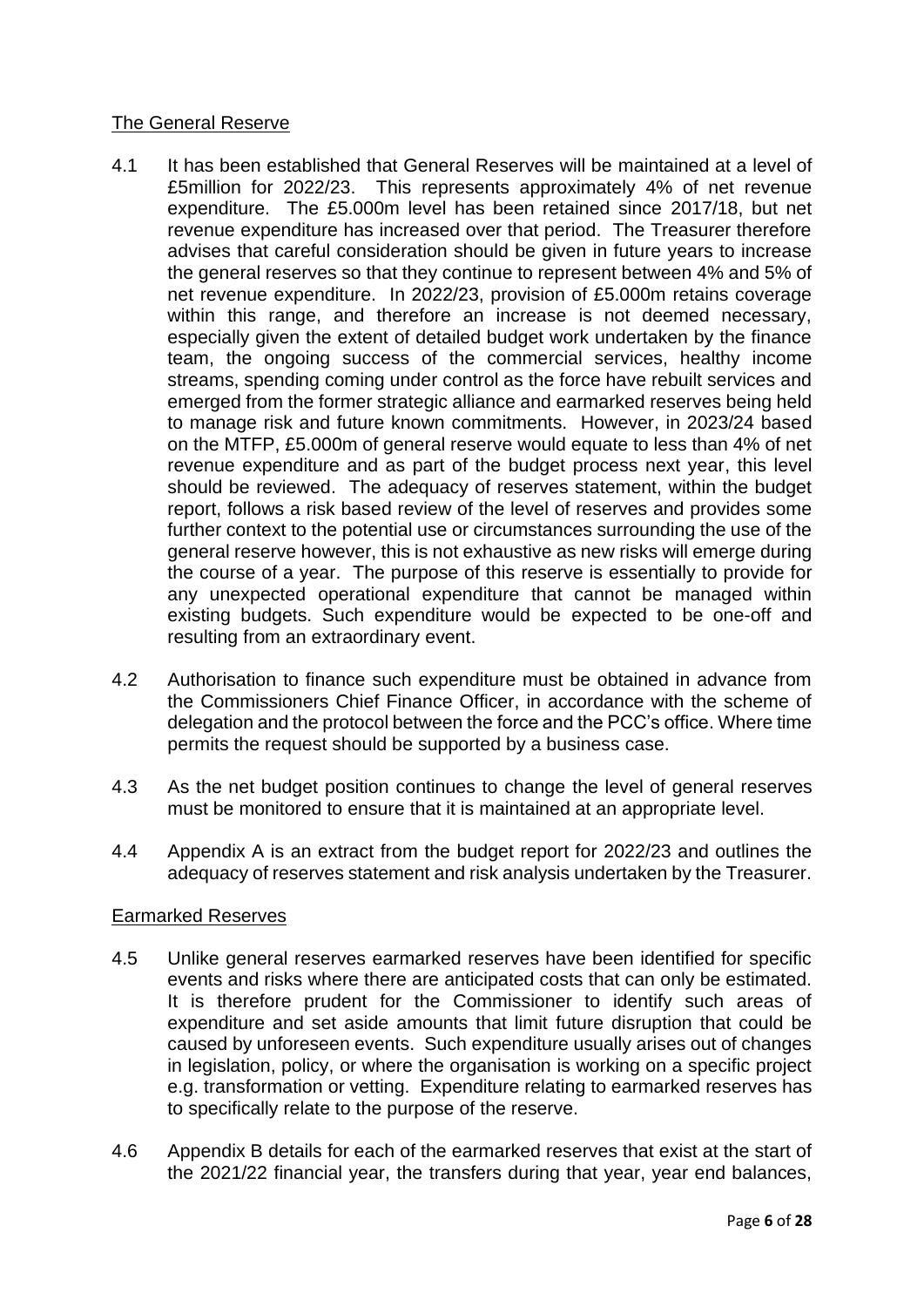## The General Reserve

- 4.1 It has been established that General Reserves will be maintained at a level of £5million for 2022/23. This represents approximately 4% of net revenue expenditure. The £5.000m level has been retained since 2017/18, but net revenue expenditure has increased over that period. The Treasurer therefore advises that careful consideration should be given in future years to increase the general reserves so that they continue to represent between 4% and 5% of net revenue expenditure. In 2022/23, provision of £5.000m retains coverage within this range, and therefore an increase is not deemed necessary, especially given the extent of detailed budget work undertaken by the finance team, the ongoing success of the commercial services, healthy income streams, spending coming under control as the force have rebuilt services and emerged from the former strategic alliance and earmarked reserves being held to manage risk and future known commitments. However, in 2023/24 based on the MTFP, £5.000m of general reserve would equate to less than 4% of net revenue expenditure and as part of the budget process next year, this level should be reviewed. The adequacy of reserves statement, within the budget report, follows a risk based review of the level of reserves and provides some further context to the potential use or circumstances surrounding the use of the general reserve however, this is not exhaustive as new risks will emerge during the course of a year. The purpose of this reserve is essentially to provide for any unexpected operational expenditure that cannot be managed within existing budgets. Such expenditure would be expected to be one-off and resulting from an extraordinary event.
- 4.2 Authorisation to finance such expenditure must be obtained in advance from the Commissioners Chief Finance Officer, in accordance with the scheme of delegation and the protocol between the force and the PCC's office. Where time permits the request should be supported by a business case.
- 4.3 As the net budget position continues to change the level of general reserves must be monitored to ensure that it is maintained at an appropriate level.
- 4.4 Appendix A is an extract from the budget report for 2022/23 and outlines the adequacy of reserves statement and risk analysis undertaken by the Treasurer.

## Earmarked Reserves

- 4.5 Unlike general reserves earmarked reserves have been identified for specific events and risks where there are anticipated costs that can only be estimated. It is therefore prudent for the Commissioner to identify such areas of expenditure and set aside amounts that limit future disruption that could be caused by unforeseen events. Such expenditure usually arises out of changes in legislation, policy, or where the organisation is working on a specific project e.g. transformation or vetting. Expenditure relating to earmarked reserves has to specifically relate to the purpose of the reserve.
- 4.6 Appendix B details for each of the earmarked reserves that exist at the start of the 2021/22 financial year, the transfers during that year, year end balances,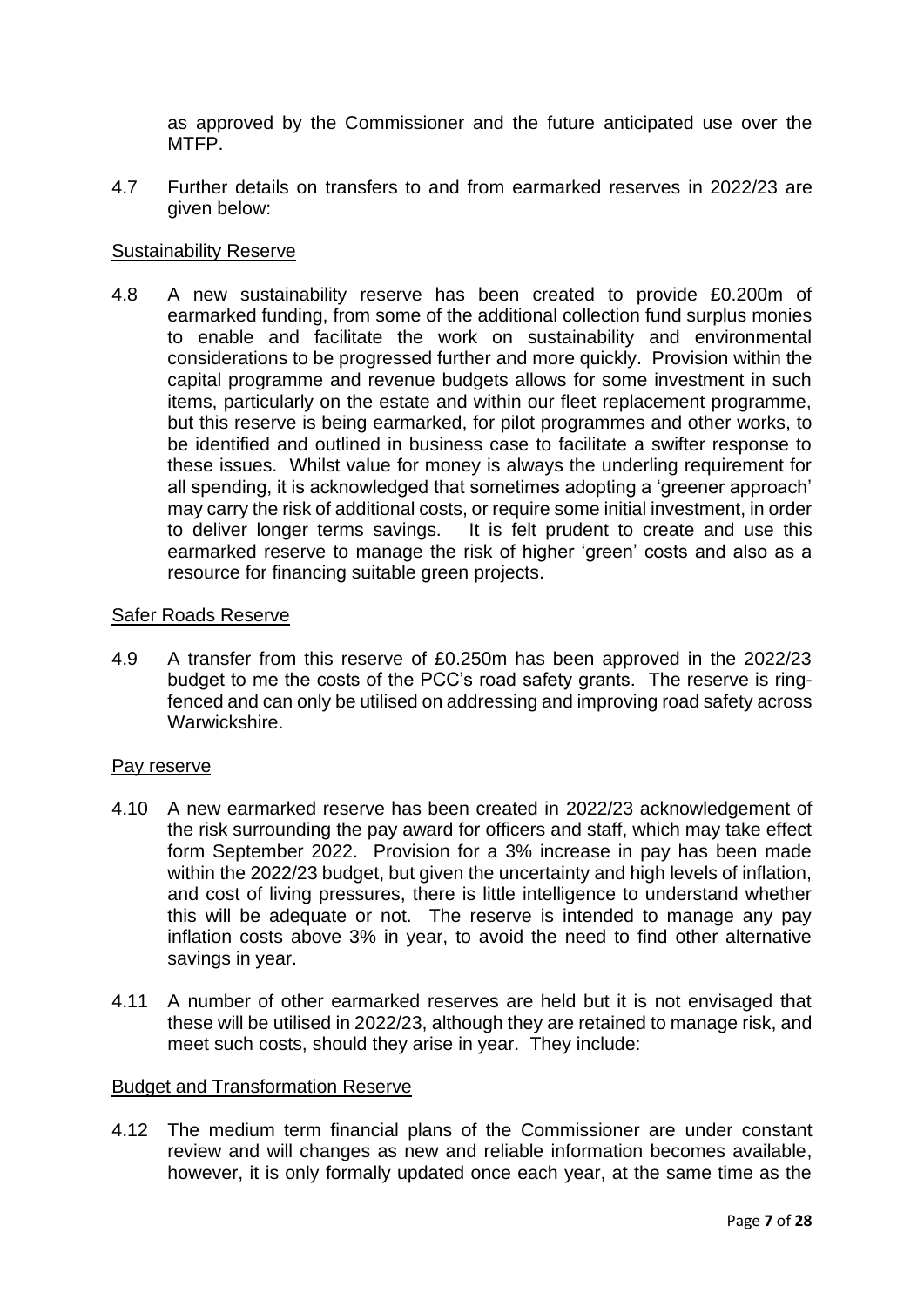as approved by the Commissioner and the future anticipated use over the MTFP.

4.7 Further details on transfers to and from earmarked reserves in 2022/23 are given below:

### Sustainability Reserve

4.8 A new sustainability reserve has been created to provide £0.200m of earmarked funding, from some of the additional collection fund surplus monies to enable and facilitate the work on sustainability and environmental considerations to be progressed further and more quickly. Provision within the capital programme and revenue budgets allows for some investment in such items, particularly on the estate and within our fleet replacement programme, but this reserve is being earmarked, for pilot programmes and other works, to be identified and outlined in business case to facilitate a swifter response to these issues. Whilst value for money is always the underling requirement for all spending, it is acknowledged that sometimes adopting a 'greener approach' may carry the risk of additional costs, or require some initial investment, in order to deliver longer terms savings. It is felt prudent to create and use this earmarked reserve to manage the risk of higher 'green' costs and also as a resource for financing suitable green projects.

#### Safer Roads Reserve

4.9 A transfer from this reserve of £0.250m has been approved in the 2022/23 budget to me the costs of the PCC's road safety grants. The reserve is ringfenced and can only be utilised on addressing and improving road safety across Warwickshire.

#### Pay reserve

- 4.10 A new earmarked reserve has been created in 2022/23 acknowledgement of the risk surrounding the pay award for officers and staff, which may take effect form September 2022. Provision for a 3% increase in pay has been made within the 2022/23 budget, but given the uncertainty and high levels of inflation, and cost of living pressures, there is little intelligence to understand whether this will be adequate or not. The reserve is intended to manage any pay inflation costs above 3% in year, to avoid the need to find other alternative savings in year.
- 4.11 A number of other earmarked reserves are held but it is not envisaged that these will be utilised in 2022/23, although they are retained to manage risk, and meet such costs, should they arise in year. They include:

#### Budget and Transformation Reserve

4.12 The medium term financial plans of the Commissioner are under constant review and will changes as new and reliable information becomes available, however, it is only formally updated once each year, at the same time as the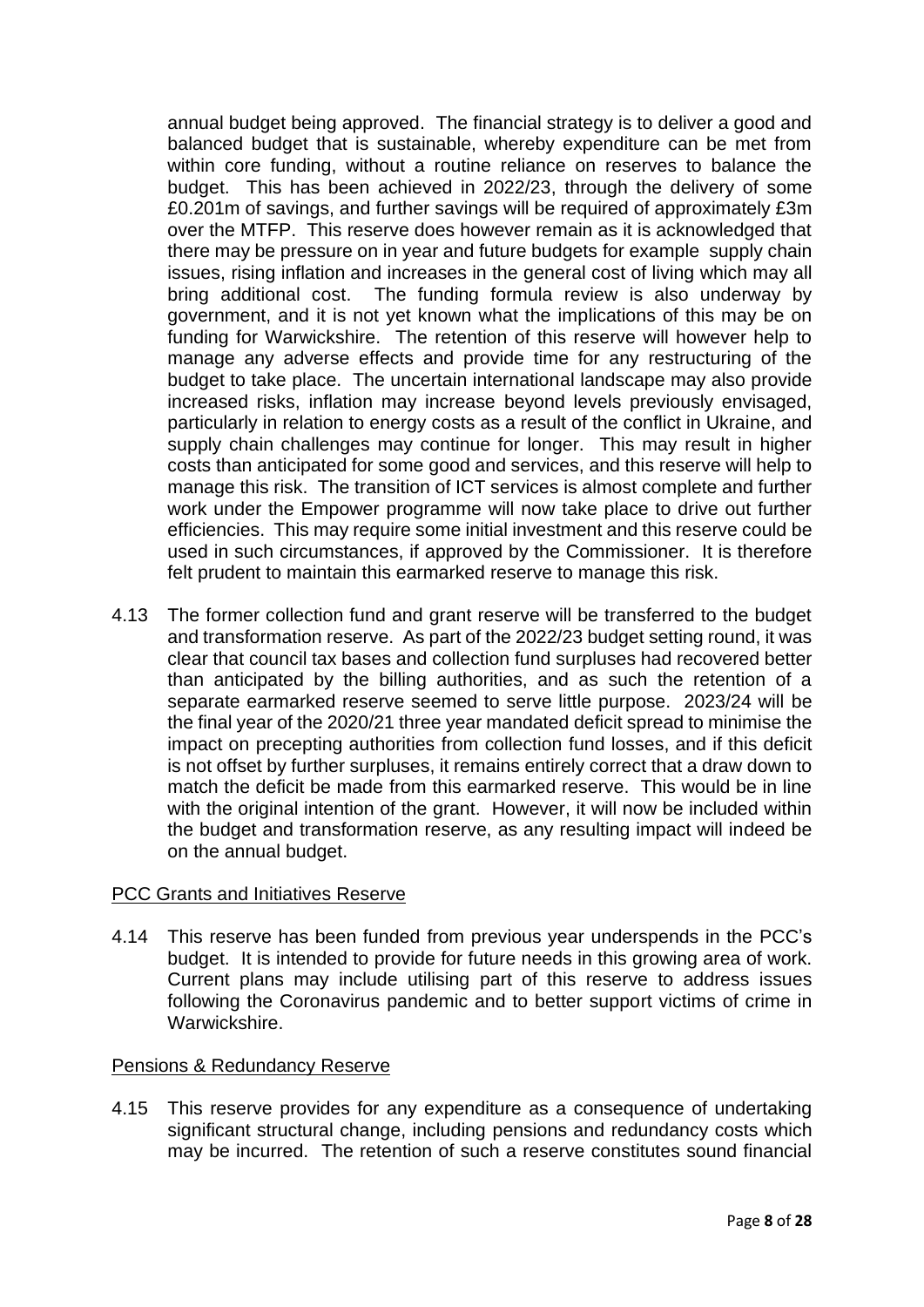annual budget being approved. The financial strategy is to deliver a good and balanced budget that is sustainable, whereby expenditure can be met from within core funding, without a routine reliance on reserves to balance the budget. This has been achieved in 2022/23, through the delivery of some £0.201m of savings, and further savings will be required of approximately £3m over the MTFP. This reserve does however remain as it is acknowledged that there may be pressure on in year and future budgets for example supply chain issues, rising inflation and increases in the general cost of living which may all bring additional cost. The funding formula review is also underway by government, and it is not yet known what the implications of this may be on funding for Warwickshire. The retention of this reserve will however help to manage any adverse effects and provide time for any restructuring of the budget to take place. The uncertain international landscape may also provide increased risks, inflation may increase beyond levels previously envisaged, particularly in relation to energy costs as a result of the conflict in Ukraine, and supply chain challenges may continue for longer. This may result in higher costs than anticipated for some good and services, and this reserve will help to manage this risk. The transition of ICT services is almost complete and further work under the Empower programme will now take place to drive out further efficiencies. This may require some initial investment and this reserve could be used in such circumstances, if approved by the Commissioner. It is therefore felt prudent to maintain this earmarked reserve to manage this risk.

4.13 The former collection fund and grant reserve will be transferred to the budget and transformation reserve. As part of the 2022/23 budget setting round, it was clear that council tax bases and collection fund surpluses had recovered better than anticipated by the billing authorities, and as such the retention of a separate earmarked reserve seemed to serve little purpose. 2023/24 will be the final year of the 2020/21 three year mandated deficit spread to minimise the impact on precepting authorities from collection fund losses, and if this deficit is not offset by further surpluses, it remains entirely correct that a draw down to match the deficit be made from this earmarked reserve. This would be in line with the original intention of the grant. However, it will now be included within the budget and transformation reserve, as any resulting impact will indeed be on the annual budget.

## PCC Grants and Initiatives Reserve

4.14 This reserve has been funded from previous year underspends in the PCC's budget. It is intended to provide for future needs in this growing area of work. Current plans may include utilising part of this reserve to address issues following the Coronavirus pandemic and to better support victims of crime in Warwickshire.

#### Pensions & Redundancy Reserve

4.15 This reserve provides for any expenditure as a consequence of undertaking significant structural change, including pensions and redundancy costs which may be incurred. The retention of such a reserve constitutes sound financial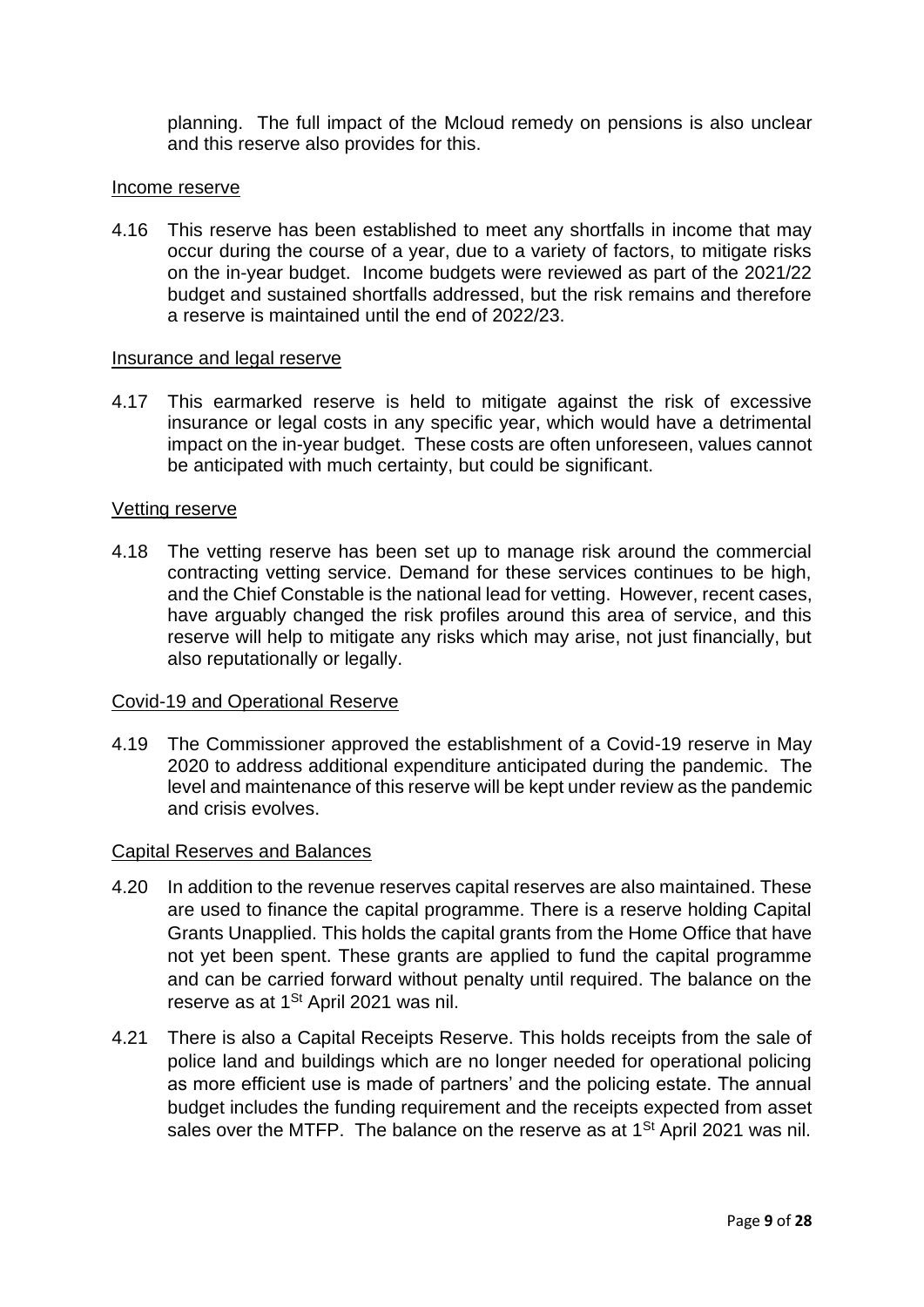planning. The full impact of the Mcloud remedy on pensions is also unclear and this reserve also provides for this.

#### Income reserve

4.16 This reserve has been established to meet any shortfalls in income that may occur during the course of a year, due to a variety of factors, to mitigate risks on the in-year budget. Income budgets were reviewed as part of the 2021/22 budget and sustained shortfalls addressed, but the risk remains and therefore a reserve is maintained until the end of 2022/23.

#### Insurance and legal reserve

4.17 This earmarked reserve is held to mitigate against the risk of excessive insurance or legal costs in any specific year, which would have a detrimental impact on the in-year budget. These costs are often unforeseen, values cannot be anticipated with much certainty, but could be significant.

#### Vetting reserve

4.18 The vetting reserve has been set up to manage risk around the commercial contracting vetting service. Demand for these services continues to be high, and the Chief Constable is the national lead for vetting. However, recent cases, have arguably changed the risk profiles around this area of service, and this reserve will help to mitigate any risks which may arise, not just financially, but also reputationally or legally.

#### Covid-19 and Operational Reserve

4.19 The Commissioner approved the establishment of a Covid-19 reserve in May 2020 to address additional expenditure anticipated during the pandemic. The level and maintenance of this reserve will be kept under review as the pandemic and crisis evolves.

#### Capital Reserves and Balances

- 4.20 In addition to the revenue reserves capital reserves are also maintained. These are used to finance the capital programme. There is a reserve holding Capital Grants Unapplied. This holds the capital grants from the Home Office that have not yet been spent. These grants are applied to fund the capital programme and can be carried forward without penalty until required. The balance on the reserve as at 1<sup>St</sup> April 2021 was nil.
- 4.21 There is also a Capital Receipts Reserve. This holds receipts from the sale of police land and buildings which are no longer needed for operational policing as more efficient use is made of partners' and the policing estate. The annual budget includes the funding requirement and the receipts expected from asset sales over the MTFP. The balance on the reserve as at 1<sup>St</sup> April 2021 was nil.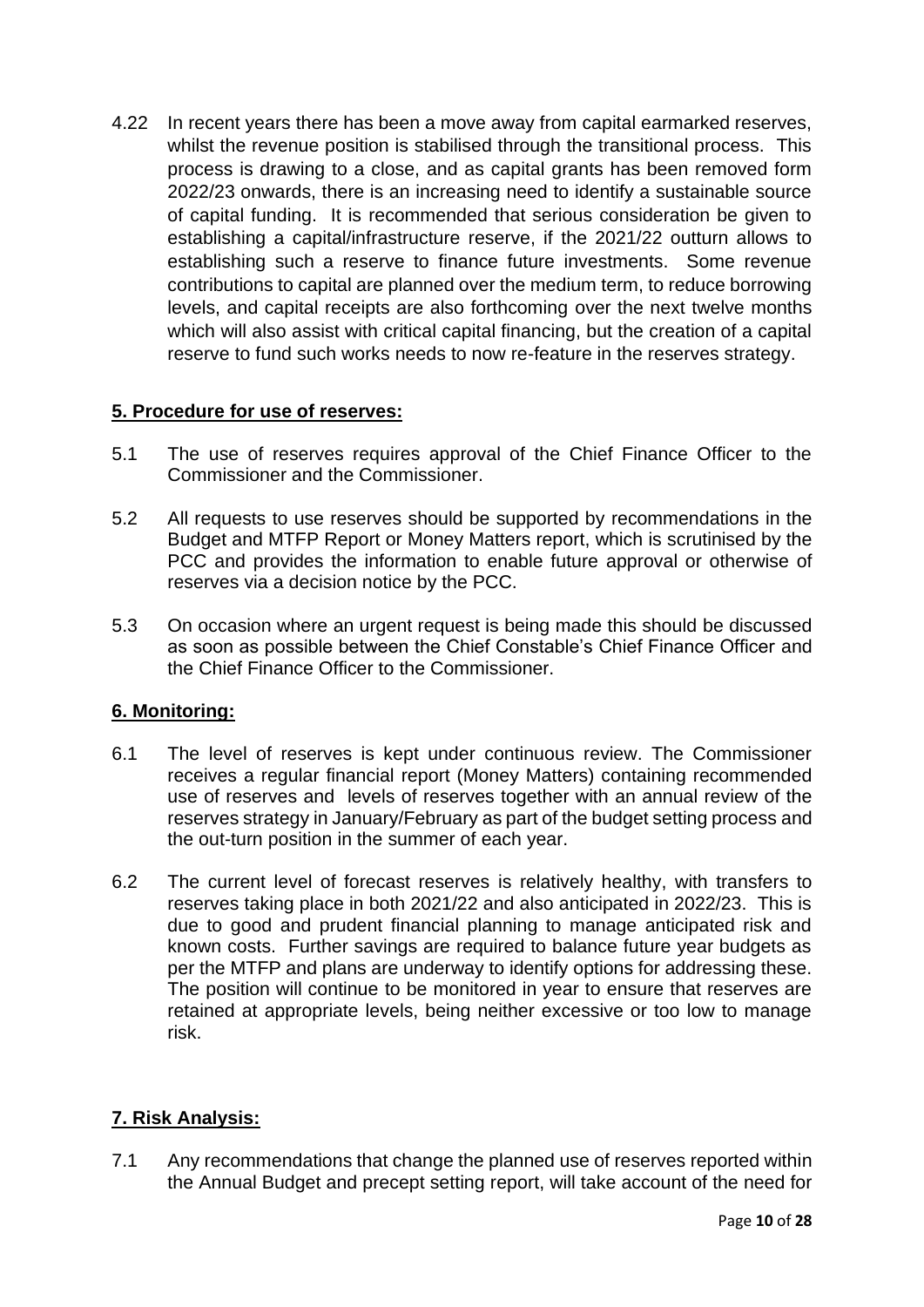4.22 In recent years there has been a move away from capital earmarked reserves, whilst the revenue position is stabilised through the transitional process. This process is drawing to a close, and as capital grants has been removed form 2022/23 onwards, there is an increasing need to identify a sustainable source of capital funding. It is recommended that serious consideration be given to establishing a capital/infrastructure reserve, if the 2021/22 outturn allows to establishing such a reserve to finance future investments. Some revenue contributions to capital are planned over the medium term, to reduce borrowing levels, and capital receipts are also forthcoming over the next twelve months which will also assist with critical capital financing, but the creation of a capital reserve to fund such works needs to now re-feature in the reserves strategy.

## **5. Procedure for use of reserves:**

- 5.1 The use of reserves requires approval of the Chief Finance Officer to the Commissioner and the Commissioner.
- 5.2 All requests to use reserves should be supported by recommendations in the Budget and MTFP Report or Money Matters report, which is scrutinised by the PCC and provides the information to enable future approval or otherwise of reserves via a decision notice by the PCC.
- 5.3 On occasion where an urgent request is being made this should be discussed as soon as possible between the Chief Constable's Chief Finance Officer and the Chief Finance Officer to the Commissioner.

## **6. Monitoring:**

- 6.1 The level of reserves is kept under continuous review. The Commissioner receives a regular financial report (Money Matters) containing recommended use of reserves and levels of reserves together with an annual review of the reserves strategy in January/February as part of the budget setting process and the out-turn position in the summer of each year.
- 6.2 The current level of forecast reserves is relatively healthy, with transfers to reserves taking place in both 2021/22 and also anticipated in 2022/23. This is due to good and prudent financial planning to manage anticipated risk and known costs. Further savings are required to balance future year budgets as per the MTFP and plans are underway to identify options for addressing these. The position will continue to be monitored in year to ensure that reserves are retained at appropriate levels, being neither excessive or too low to manage risk.

# **7. Risk Analysis:**

7.1 Any recommendations that change the planned use of reserves reported within the Annual Budget and precept setting report, will take account of the need for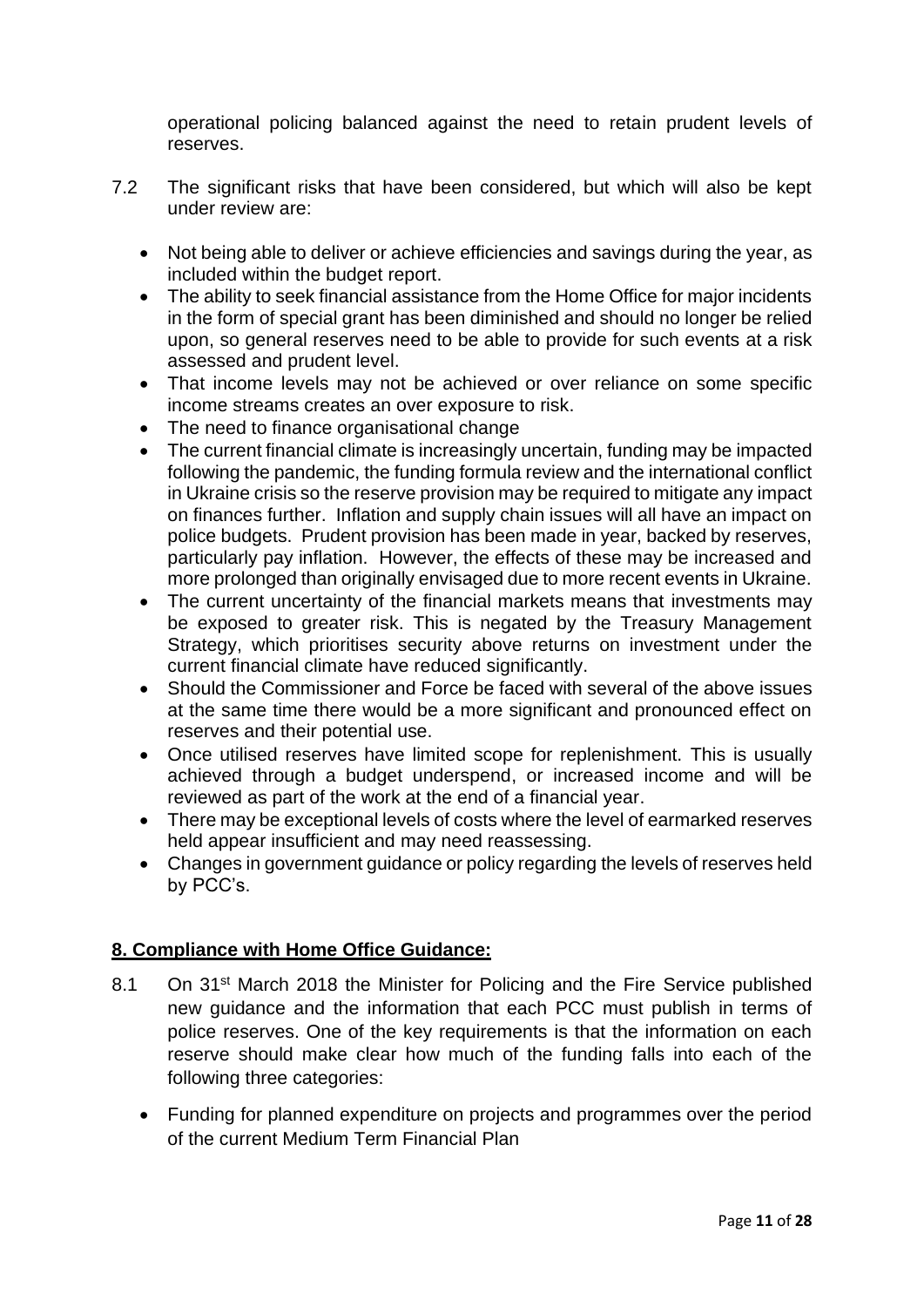operational policing balanced against the need to retain prudent levels of reserves.

- 7.2 The significant risks that have been considered, but which will also be kept under review are:
	- Not being able to deliver or achieve efficiencies and savings during the year, as included within the budget report.
	- The ability to seek financial assistance from the Home Office for major incidents in the form of special grant has been diminished and should no longer be relied upon, so general reserves need to be able to provide for such events at a risk assessed and prudent level.
	- That income levels may not be achieved or over reliance on some specific income streams creates an over exposure to risk.
	- The need to finance organisational change
	- The current financial climate is increasingly uncertain, funding may be impacted following the pandemic, the funding formula review and the international conflict in Ukraine crisis so the reserve provision may be required to mitigate any impact on finances further. Inflation and supply chain issues will all have an impact on police budgets. Prudent provision has been made in year, backed by reserves, particularly pay inflation. However, the effects of these may be increased and more prolonged than originally envisaged due to more recent events in Ukraine.
	- The current uncertainty of the financial markets means that investments may be exposed to greater risk. This is negated by the Treasury Management Strategy, which prioritises security above returns on investment under the current financial climate have reduced significantly.
	- Should the Commissioner and Force be faced with several of the above issues at the same time there would be a more significant and pronounced effect on reserves and their potential use.
	- Once utilised reserves have limited scope for replenishment. This is usually achieved through a budget underspend, or increased income and will be reviewed as part of the work at the end of a financial year.
	- There may be exceptional levels of costs where the level of earmarked reserves held appear insufficient and may need reassessing.
	- Changes in government guidance or policy regarding the levels of reserves held by PCC's.

# **8. Compliance with Home Office Guidance:**

- 8.1 On 31<sup>st</sup> March 2018 the Minister for Policing and the Fire Service published new guidance and the information that each PCC must publish in terms of police reserves. One of the key requirements is that the information on each reserve should make clear how much of the funding falls into each of the following three categories:
	- Funding for planned expenditure on projects and programmes over the period of the current Medium Term Financial Plan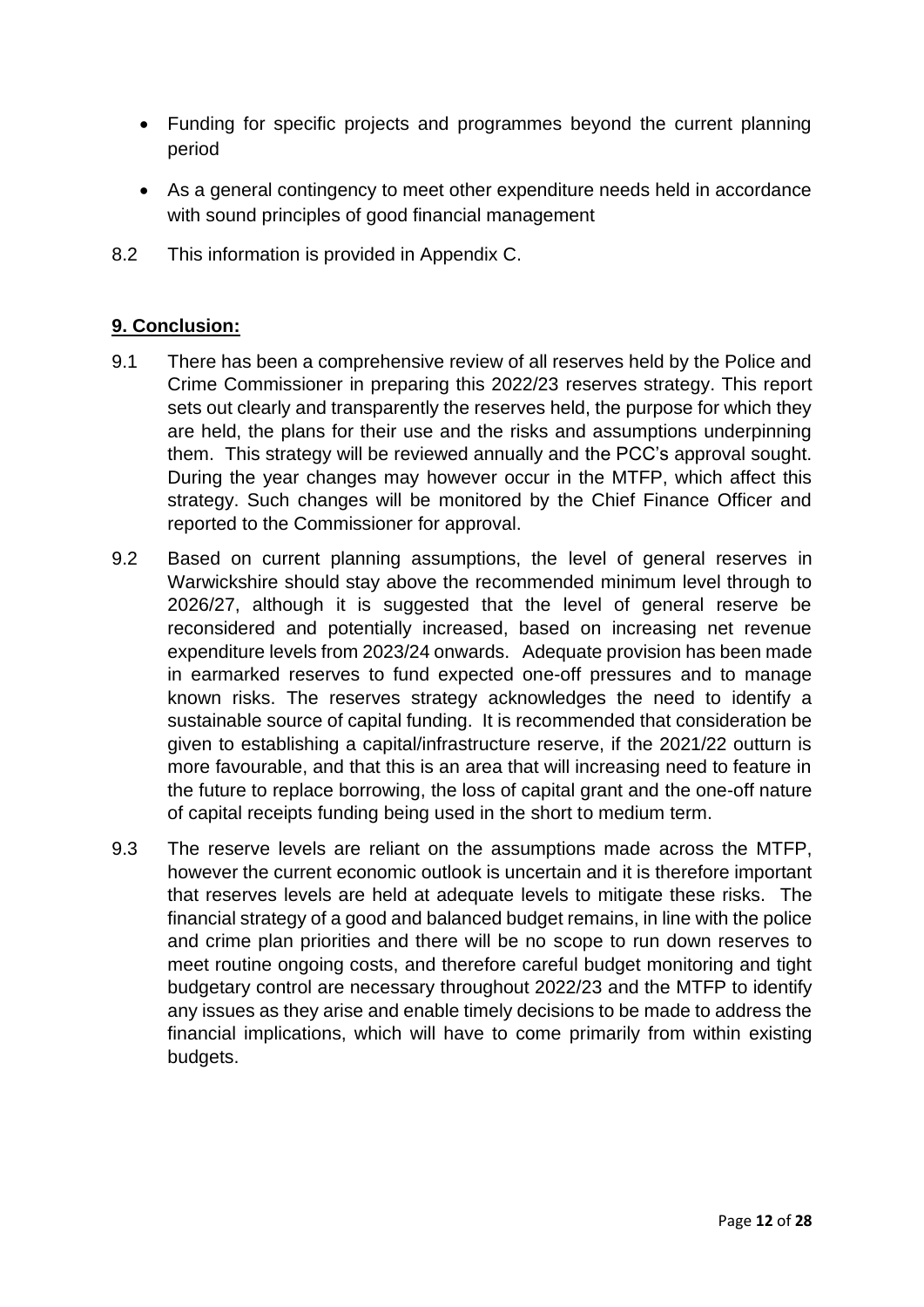- Funding for specific projects and programmes beyond the current planning period
- As a general contingency to meet other expenditure needs held in accordance with sound principles of good financial management
- 8.2 This information is provided in Appendix C.

## **9. Conclusion:**

- 9.1 There has been a comprehensive review of all reserves held by the Police and Crime Commissioner in preparing this 2022/23 reserves strategy. This report sets out clearly and transparently the reserves held, the purpose for which they are held, the plans for their use and the risks and assumptions underpinning them. This strategy will be reviewed annually and the PCC's approval sought. During the year changes may however occur in the MTFP, which affect this strategy. Such changes will be monitored by the Chief Finance Officer and reported to the Commissioner for approval.
- 9.2 Based on current planning assumptions, the level of general reserves in Warwickshire should stay above the recommended minimum level through to 2026/27, although it is suggested that the level of general reserve be reconsidered and potentially increased, based on increasing net revenue expenditure levels from 2023/24 onwards. Adequate provision has been made in earmarked reserves to fund expected one-off pressures and to manage known risks. The reserves strategy acknowledges the need to identify a sustainable source of capital funding. It is recommended that consideration be given to establishing a capital/infrastructure reserve, if the 2021/22 outturn is more favourable, and that this is an area that will increasing need to feature in the future to replace borrowing, the loss of capital grant and the one-off nature of capital receipts funding being used in the short to medium term.
- 9.3 The reserve levels are reliant on the assumptions made across the MTFP, however the current economic outlook is uncertain and it is therefore important that reserves levels are held at adequate levels to mitigate these risks. The financial strategy of a good and balanced budget remains, in line with the police and crime plan priorities and there will be no scope to run down reserves to meet routine ongoing costs, and therefore careful budget monitoring and tight budgetary control are necessary throughout 2022/23 and the MTFP to identify any issues as they arise and enable timely decisions to be made to address the financial implications, which will have to come primarily from within existing budgets.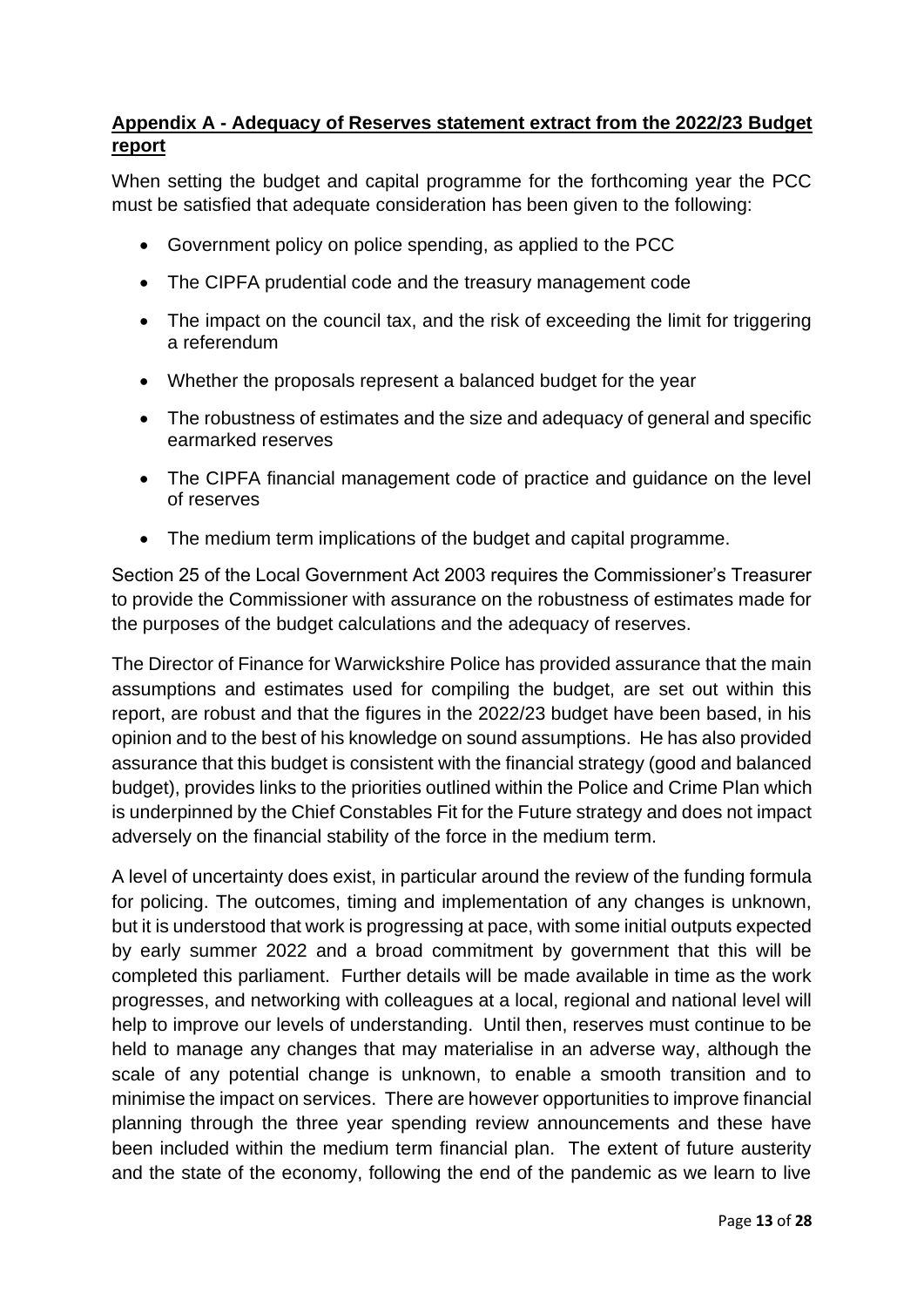# **Appendix A - Adequacy of Reserves statement extract from the 2022/23 Budget report**

When setting the budget and capital programme for the forthcoming year the PCC must be satisfied that adequate consideration has been given to the following:

- Government policy on police spending, as applied to the PCC
- The CIPFA prudential code and the treasury management code
- The impact on the council tax, and the risk of exceeding the limit for triggering a referendum
- Whether the proposals represent a balanced budget for the year
- The robustness of estimates and the size and adequacy of general and specific earmarked reserves
- The CIPFA financial management code of practice and guidance on the level of reserves
- The medium term implications of the budget and capital programme.

Section 25 of the Local Government Act 2003 requires the Commissioner's Treasurer to provide the Commissioner with assurance on the robustness of estimates made for the purposes of the budget calculations and the adequacy of reserves.

The Director of Finance for Warwickshire Police has provided assurance that the main assumptions and estimates used for compiling the budget, are set out within this report, are robust and that the figures in the 2022/23 budget have been based, in his opinion and to the best of his knowledge on sound assumptions. He has also provided assurance that this budget is consistent with the financial strategy (good and balanced budget), provides links to the priorities outlined within the Police and Crime Plan which is underpinned by the Chief Constables Fit for the Future strategy and does not impact adversely on the financial stability of the force in the medium term.

A level of uncertainty does exist, in particular around the review of the funding formula for policing. The outcomes, timing and implementation of any changes is unknown, but it is understood that work is progressing at pace, with some initial outputs expected by early summer 2022 and a broad commitment by government that this will be completed this parliament. Further details will be made available in time as the work progresses, and networking with colleagues at a local, regional and national level will help to improve our levels of understanding. Until then, reserves must continue to be held to manage any changes that may materialise in an adverse way, although the scale of any potential change is unknown, to enable a smooth transition and to minimise the impact on services. There are however opportunities to improve financial planning through the three year spending review announcements and these have been included within the medium term financial plan. The extent of future austerity and the state of the economy, following the end of the pandemic as we learn to live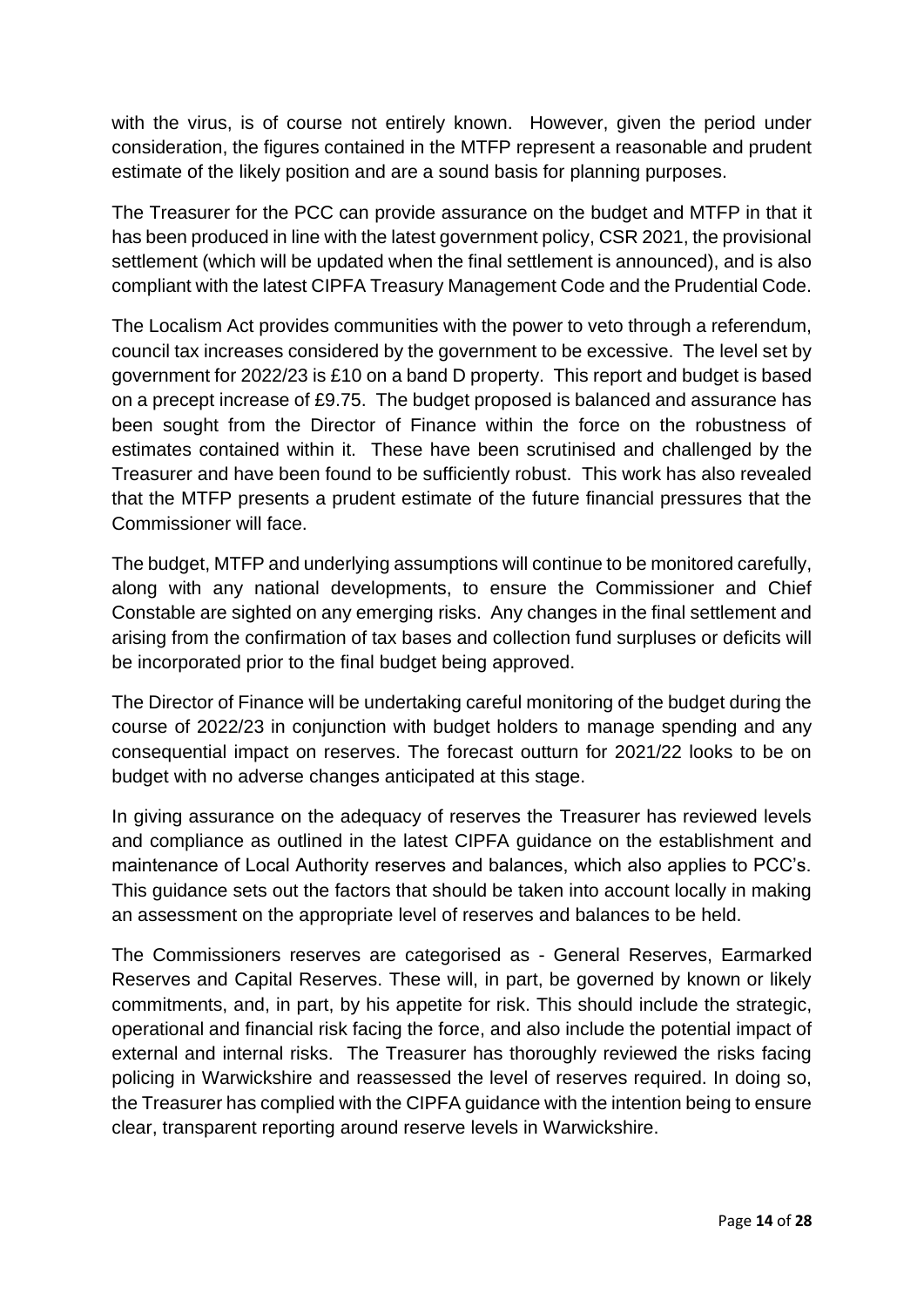with the virus, is of course not entirely known. However, given the period under consideration, the figures contained in the MTFP represent a reasonable and prudent estimate of the likely position and are a sound basis for planning purposes.

The Treasurer for the PCC can provide assurance on the budget and MTFP in that it has been produced in line with the latest government policy, CSR 2021, the provisional settlement (which will be updated when the final settlement is announced), and is also compliant with the latest CIPFA Treasury Management Code and the Prudential Code.

The Localism Act provides communities with the power to veto through a referendum, council tax increases considered by the government to be excessive. The level set by government for 2022/23 is £10 on a band D property. This report and budget is based on a precept increase of £9.75. The budget proposed is balanced and assurance has been sought from the Director of Finance within the force on the robustness of estimates contained within it. These have been scrutinised and challenged by the Treasurer and have been found to be sufficiently robust. This work has also revealed that the MTFP presents a prudent estimate of the future financial pressures that the Commissioner will face.

The budget, MTFP and underlying assumptions will continue to be monitored carefully, along with any national developments, to ensure the Commissioner and Chief Constable are sighted on any emerging risks. Any changes in the final settlement and arising from the confirmation of tax bases and collection fund surpluses or deficits will be incorporated prior to the final budget being approved.

The Director of Finance will be undertaking careful monitoring of the budget during the course of 2022/23 in conjunction with budget holders to manage spending and any consequential impact on reserves. The forecast outturn for 2021/22 looks to be on budget with no adverse changes anticipated at this stage.

In giving assurance on the adequacy of reserves the Treasurer has reviewed levels and compliance as outlined in the latest CIPFA guidance on the establishment and maintenance of Local Authority reserves and balances, which also applies to PCC's. This guidance sets out the factors that should be taken into account locally in making an assessment on the appropriate level of reserves and balances to be held.

The Commissioners reserves are categorised as - General Reserves, Earmarked Reserves and Capital Reserves. These will, in part, be governed by known or likely commitments, and, in part, by his appetite for risk. This should include the strategic, operational and financial risk facing the force, and also include the potential impact of external and internal risks. The Treasurer has thoroughly reviewed the risks facing policing in Warwickshire and reassessed the level of reserves required. In doing so, the Treasurer has complied with the CIPFA guidance with the intention being to ensure clear, transparent reporting around reserve levels in Warwickshire.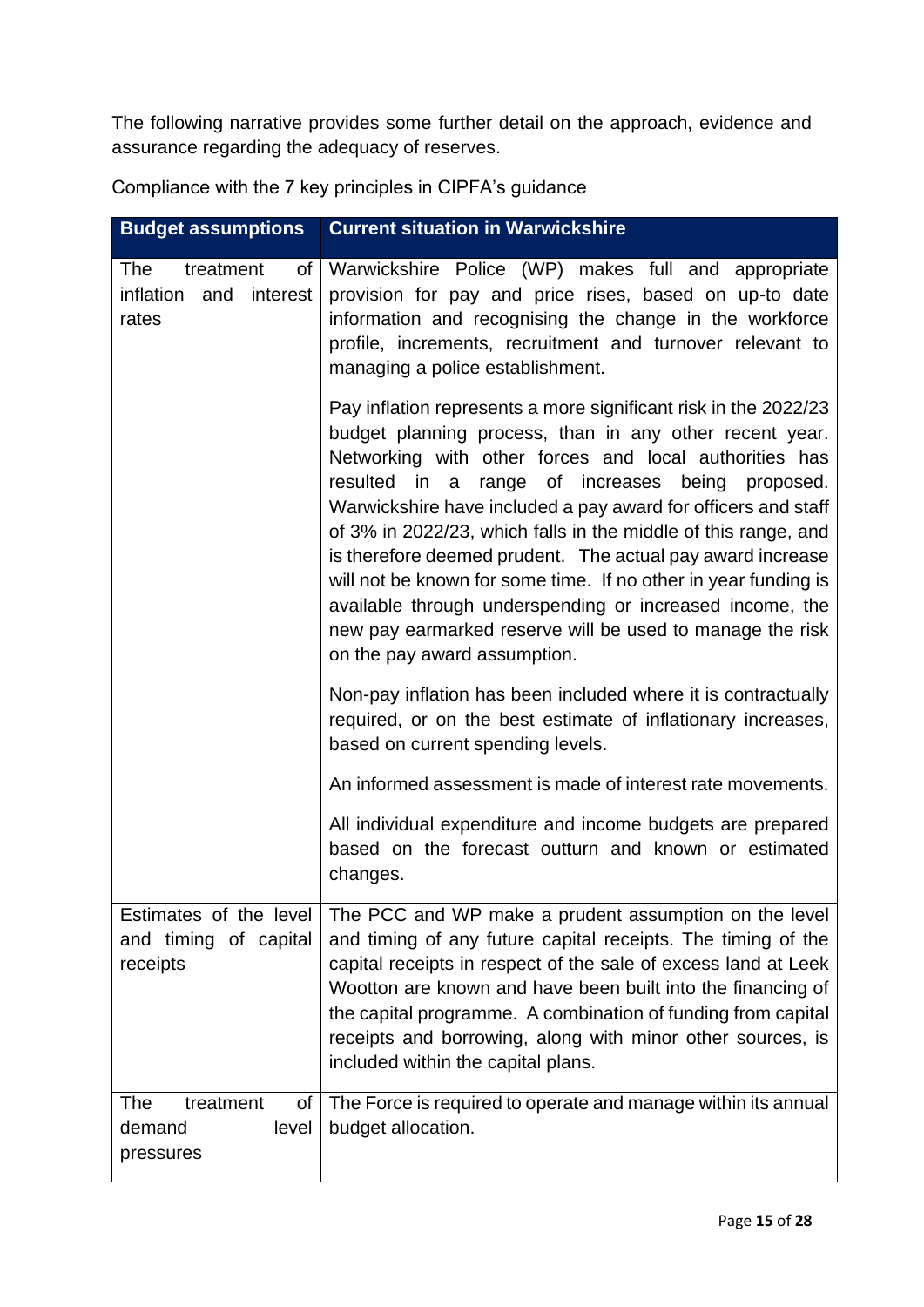The following narrative provides some further detail on the approach, evidence and assurance regarding the adequacy of reserves.

| <b>Budget assumptions</b>                              | <b>Current situation in Warwickshire</b>                                                                                                                                                                                                                                                                                                                                                                                                                                                                                                                                                                                                                                 |
|--------------------------------------------------------|--------------------------------------------------------------------------------------------------------------------------------------------------------------------------------------------------------------------------------------------------------------------------------------------------------------------------------------------------------------------------------------------------------------------------------------------------------------------------------------------------------------------------------------------------------------------------------------------------------------------------------------------------------------------------|
| The<br>treatment<br>inflation and interest<br>rates    | of Warwickshire Police (WP) makes full and appropriate<br>provision for pay and price rises, based on up-to date<br>information and recognising the change in the workforce<br>profile, increments, recruitment and turnover relevant to<br>managing a police establishment.                                                                                                                                                                                                                                                                                                                                                                                             |
|                                                        | Pay inflation represents a more significant risk in the 2022/23<br>budget planning process, than in any other recent year.<br>Networking with other forces and local authorities has<br>resulted in a<br>range of increases being proposed.<br>Warwickshire have included a pay award for officers and staff<br>of 3% in 2022/23, which falls in the middle of this range, and<br>is therefore deemed prudent. The actual pay award increase<br>will not be known for some time. If no other in year funding is<br>available through underspending or increased income, the<br>new pay earmarked reserve will be used to manage the risk<br>on the pay award assumption. |
|                                                        | Non-pay inflation has been included where it is contractually<br>required, or on the best estimate of inflationary increases,<br>based on current spending levels.                                                                                                                                                                                                                                                                                                                                                                                                                                                                                                       |
|                                                        | An informed assessment is made of interest rate movements.                                                                                                                                                                                                                                                                                                                                                                                                                                                                                                                                                                                                               |
|                                                        | All individual expenditure and income budgets are prepared<br>based on the forecast outturn and known or estimated<br>changes.                                                                                                                                                                                                                                                                                                                                                                                                                                                                                                                                           |
| and timing of capital<br>receipts                      | Estimates of the level   The PCC and WP make a prudent assumption on the level<br>and timing of any future capital receipts. The timing of the<br>capital receipts in respect of the sale of excess land at Leek<br>Wootton are known and have been built into the financing of<br>the capital programme. A combination of funding from capital<br>receipts and borrowing, along with minor other sources, is<br>included within the capital plans.                                                                                                                                                                                                                      |
| The<br>treatment<br>Οf<br>demand<br>level<br>pressures | The Force is required to operate and manage within its annual<br>budget allocation.                                                                                                                                                                                                                                                                                                                                                                                                                                                                                                                                                                                      |

Compliance with the 7 key principles in CIPFA's guidance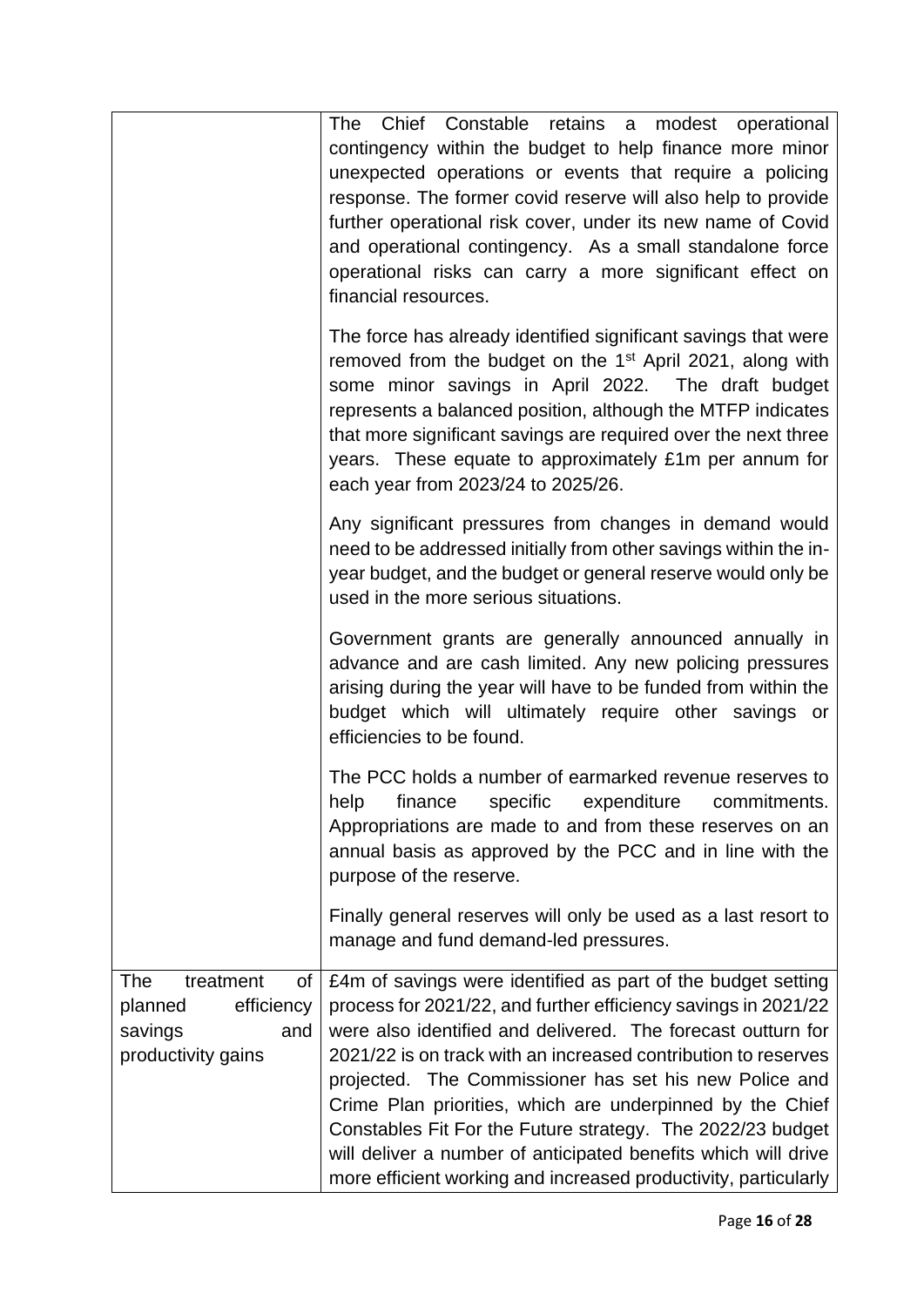|                                                                                         | Chief Constable retains a modest operational<br>The<br>contingency within the budget to help finance more minor<br>unexpected operations or events that require a policing<br>response. The former covid reserve will also help to provide<br>further operational risk cover, under its new name of Covid<br>and operational contingency. As a small standalone force<br>operational risks can carry a more significant effect on<br>financial resources.                                                                                                                                  |
|-----------------------------------------------------------------------------------------|--------------------------------------------------------------------------------------------------------------------------------------------------------------------------------------------------------------------------------------------------------------------------------------------------------------------------------------------------------------------------------------------------------------------------------------------------------------------------------------------------------------------------------------------------------------------------------------------|
|                                                                                         | The force has already identified significant savings that were<br>removed from the budget on the 1 <sup>st</sup> April 2021, along with<br>some minor savings in April 2022. The draft budget<br>represents a balanced position, although the MTFP indicates<br>that more significant savings are required over the next three<br>years. These equate to approximately £1m per annum for<br>each year from 2023/24 to 2025/26.                                                                                                                                                             |
|                                                                                         | Any significant pressures from changes in demand would<br>need to be addressed initially from other savings within the in-<br>year budget, and the budget or general reserve would only be<br>used in the more serious situations.                                                                                                                                                                                                                                                                                                                                                         |
|                                                                                         | Government grants are generally announced annually in<br>advance and are cash limited. Any new policing pressures<br>arising during the year will have to be funded from within the<br>budget which will ultimately require other savings or<br>efficiencies to be found.                                                                                                                                                                                                                                                                                                                  |
|                                                                                         | The PCC holds a number of earmarked revenue reserves to<br>help<br>finance specific<br>expenditure<br>commitments.<br>Appropriations are made to and from these reserves on an<br>annual basis as approved by the PCC and in line with the<br>purpose of the reserve.                                                                                                                                                                                                                                                                                                                      |
|                                                                                         | Finally general reserves will only be used as a last resort to<br>manage and fund demand-led pressures.                                                                                                                                                                                                                                                                                                                                                                                                                                                                                    |
| The<br>treatment<br>Οf<br>efficiency<br>planned<br>savings<br>and<br>productivity gains | £4m of savings were identified as part of the budget setting<br>process for 2021/22, and further efficiency savings in 2021/22<br>were also identified and delivered. The forecast outturn for<br>2021/22 is on track with an increased contribution to reserves<br>projected. The Commissioner has set his new Police and<br>Crime Plan priorities, which are underpinned by the Chief<br>Constables Fit For the Future strategy. The 2022/23 budget<br>will deliver a number of anticipated benefits which will drive<br>more efficient working and increased productivity, particularly |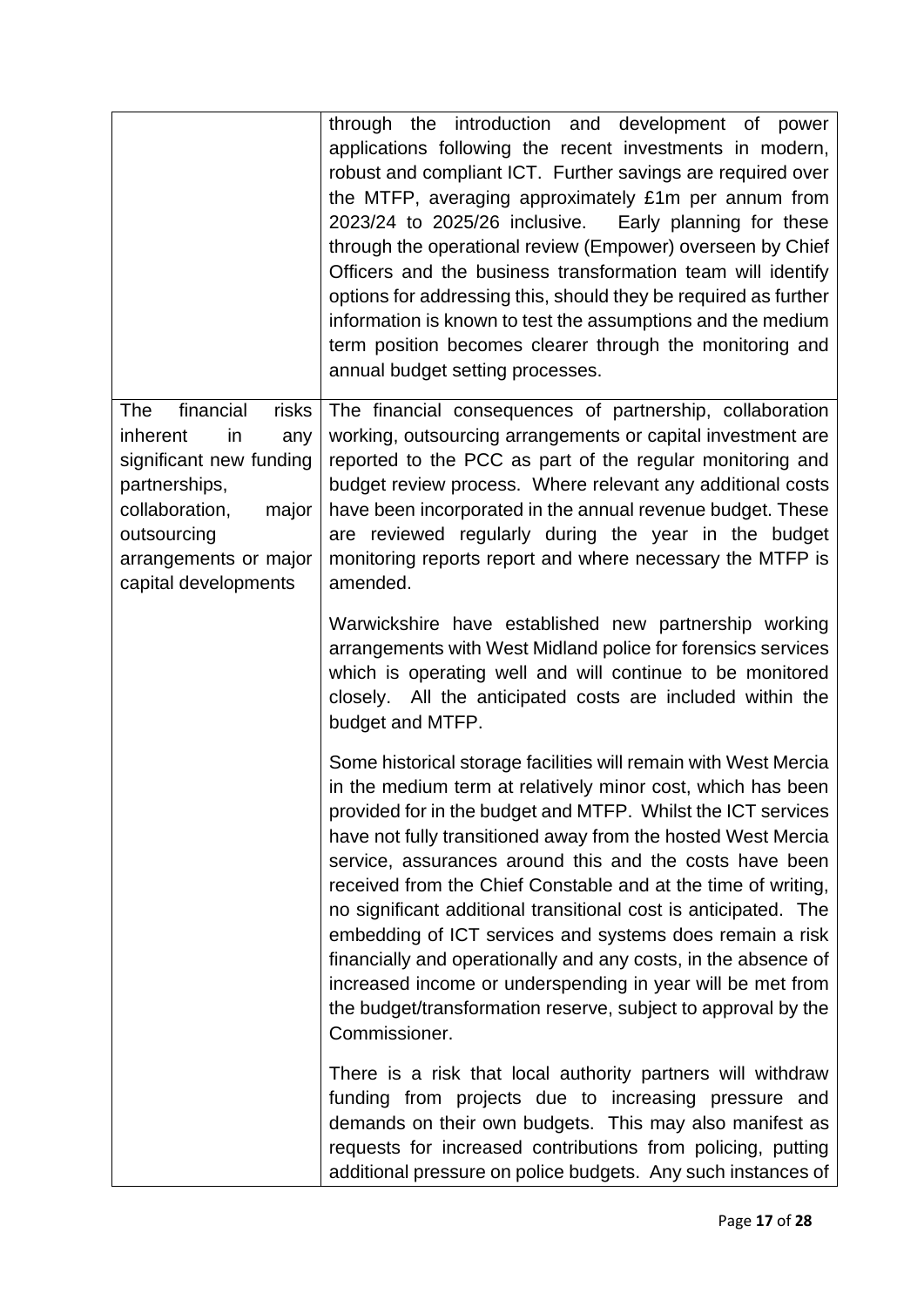|                                                                                                                                                                                           | through the introduction and development of power<br>applications following the recent investments in modern,<br>robust and compliant ICT. Further savings are required over<br>the MTFP, averaging approximately £1m per annum from<br>2023/24 to 2025/26 inclusive.<br>Early planning for these<br>through the operational review (Empower) overseen by Chief<br>Officers and the business transformation team will identify<br>options for addressing this, should they be required as further<br>information is known to test the assumptions and the medium<br>term position becomes clearer through the monitoring and<br>annual budget setting processes.                                                                            |
|-------------------------------------------------------------------------------------------------------------------------------------------------------------------------------------------|---------------------------------------------------------------------------------------------------------------------------------------------------------------------------------------------------------------------------------------------------------------------------------------------------------------------------------------------------------------------------------------------------------------------------------------------------------------------------------------------------------------------------------------------------------------------------------------------------------------------------------------------------------------------------------------------------------------------------------------------|
| financial<br>The<br>risks<br>in<br>inherent<br>any<br>significant new funding<br>partnerships,<br>collaboration,<br>major<br>outsourcing<br>arrangements or major<br>capital developments | The financial consequences of partnership, collaboration<br>working, outsourcing arrangements or capital investment are<br>reported to the PCC as part of the regular monitoring and<br>budget review process. Where relevant any additional costs<br>have been incorporated in the annual revenue budget. These<br>are reviewed regularly during the year in the budget<br>monitoring reports report and where necessary the MTFP is<br>amended.                                                                                                                                                                                                                                                                                           |
|                                                                                                                                                                                           | Warwickshire have established new partnership working<br>arrangements with West Midland police for forensics services<br>which is operating well and will continue to be monitored<br>closely. All the anticipated costs are included within the<br>budget and MTFP.                                                                                                                                                                                                                                                                                                                                                                                                                                                                        |
|                                                                                                                                                                                           | Some historical storage facilities will remain with West Mercia<br>in the medium term at relatively minor cost, which has been<br>provided for in the budget and MTFP. Whilst the ICT services<br>have not fully transitioned away from the hosted West Mercia<br>service, assurances around this and the costs have been<br>received from the Chief Constable and at the time of writing,<br>no significant additional transitional cost is anticipated. The<br>embedding of ICT services and systems does remain a risk<br>financially and operationally and any costs, in the absence of<br>increased income or underspending in year will be met from<br>the budget/transformation reserve, subject to approval by the<br>Commissioner. |
|                                                                                                                                                                                           | There is a risk that local authority partners will withdraw<br>funding from projects due to increasing pressure and<br>demands on their own budgets. This may also manifest as<br>requests for increased contributions from policing, putting<br>additional pressure on police budgets. Any such instances of                                                                                                                                                                                                                                                                                                                                                                                                                               |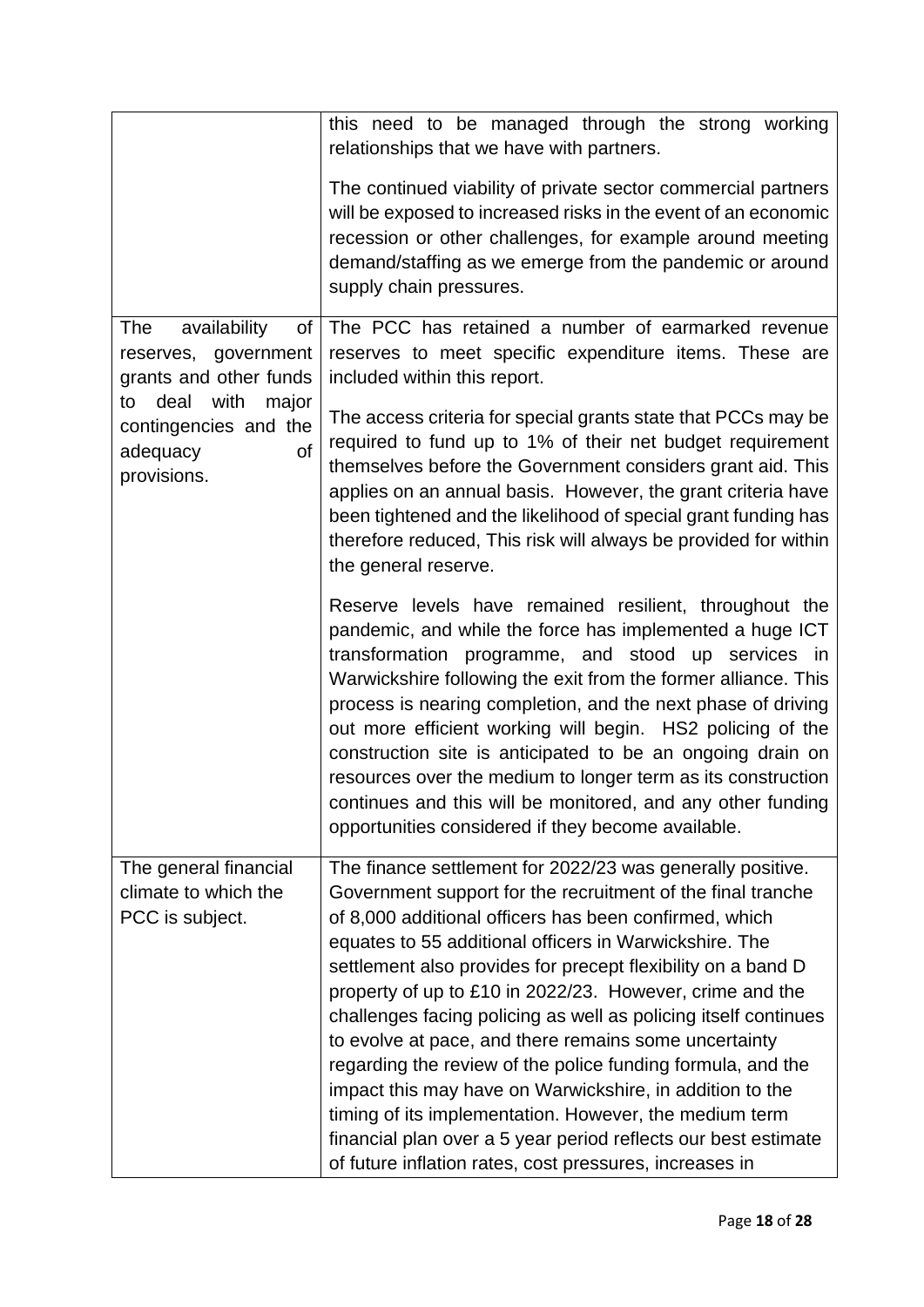|                                                                                                                                                                   | this need to be managed through the strong working<br>relationships that we have with partners.<br>The continued viability of private sector commercial partners<br>will be exposed to increased risks in the event of an economic<br>recession or other challenges, for example around meeting<br>demand/staffing as we emerge from the pandemic or around<br>supply chain pressures.                                                                                                                                                                                                                                                                                                                                                                                                                                  |  |  |  |
|-------------------------------------------------------------------------------------------------------------------------------------------------------------------|-------------------------------------------------------------------------------------------------------------------------------------------------------------------------------------------------------------------------------------------------------------------------------------------------------------------------------------------------------------------------------------------------------------------------------------------------------------------------------------------------------------------------------------------------------------------------------------------------------------------------------------------------------------------------------------------------------------------------------------------------------------------------------------------------------------------------|--|--|--|
| availability<br>The<br>of<br>reserves, government<br>grants and other funds<br>deal with<br>major<br>to<br>contingencies and the<br>of<br>adequacy<br>provisions. | The PCC has retained a number of earmarked revenue<br>reserves to meet specific expenditure items. These are<br>included within this report.                                                                                                                                                                                                                                                                                                                                                                                                                                                                                                                                                                                                                                                                            |  |  |  |
|                                                                                                                                                                   | The access criteria for special grants state that PCCs may be<br>required to fund up to 1% of their net budget requirement<br>themselves before the Government considers grant aid. This<br>applies on an annual basis. However, the grant criteria have<br>been tightened and the likelihood of special grant funding has<br>therefore reduced, This risk will always be provided for within<br>the general reserve.                                                                                                                                                                                                                                                                                                                                                                                                   |  |  |  |
|                                                                                                                                                                   | Reserve levels have remained resilient, throughout the<br>pandemic, and while the force has implemented a huge ICT<br>transformation programme, and stood up services in<br>Warwickshire following the exit from the former alliance. This<br>process is nearing completion, and the next phase of driving<br>out more efficient working will begin. HS2 policing of the<br>construction site is anticipated to be an ongoing drain on<br>resources over the medium to longer term as its construction<br>continues and this will be monitored, and any other funding<br>opportunities considered if they become available.                                                                                                                                                                                             |  |  |  |
| The general financial<br>climate to which the<br>PCC is subject.                                                                                                  | The finance settlement for 2022/23 was generally positive.<br>Government support for the recruitment of the final tranche<br>of 8,000 additional officers has been confirmed, which<br>equates to 55 additional officers in Warwickshire. The<br>settlement also provides for precept flexibility on a band D<br>property of up to £10 in 2022/23. However, crime and the<br>challenges facing policing as well as policing itself continues<br>to evolve at pace, and there remains some uncertainty<br>regarding the review of the police funding formula, and the<br>impact this may have on Warwickshire, in addition to the<br>timing of its implementation. However, the medium term<br>financial plan over a 5 year period reflects our best estimate<br>of future inflation rates, cost pressures, increases in |  |  |  |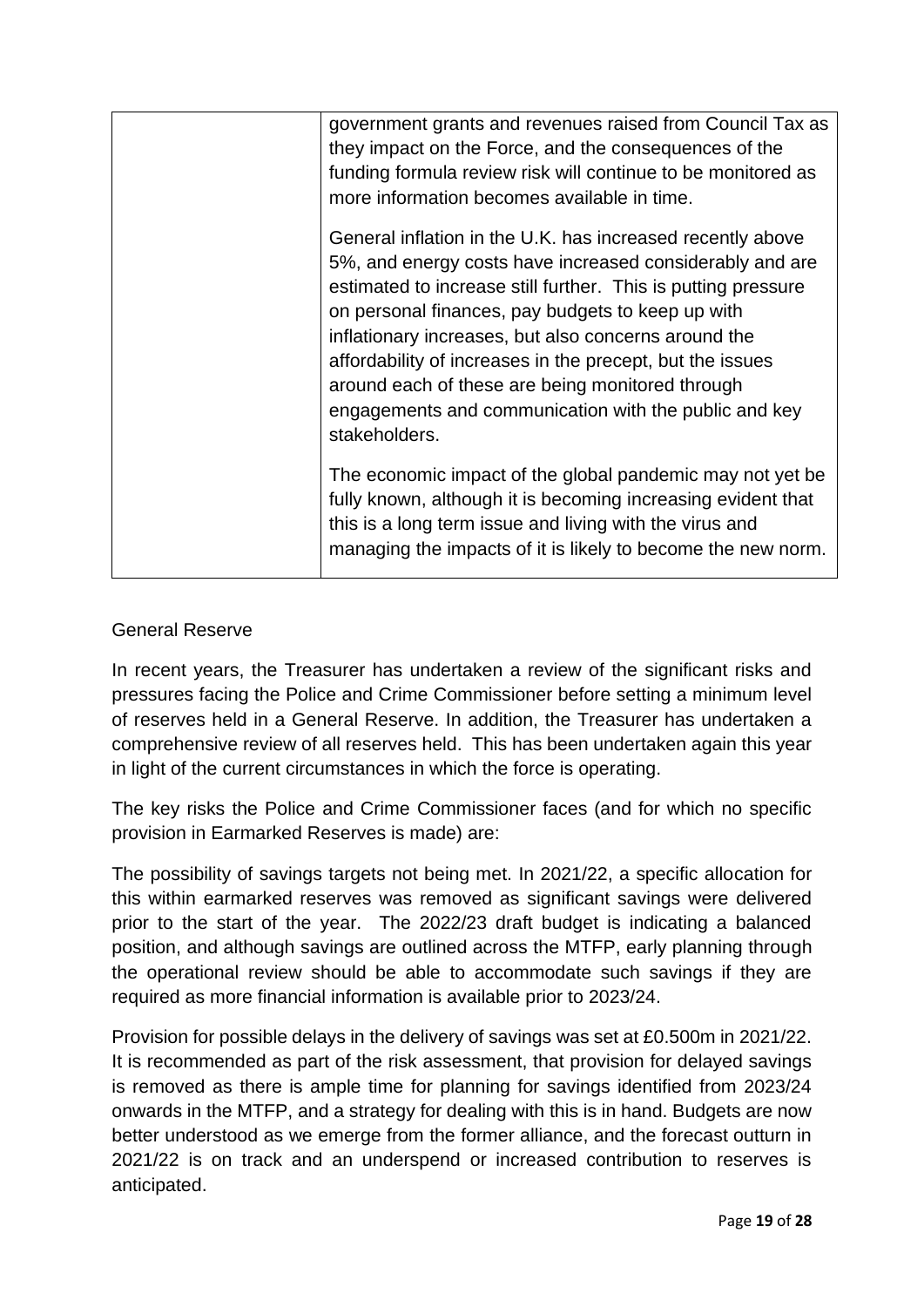| government grants and revenues raised from Council Tax as     |
|---------------------------------------------------------------|
| they impact on the Force, and the consequences of the         |
| funding formula review risk will continue to be monitored as  |
| more information becomes available in time.                   |
| General inflation in the U.K. has increased recently above    |
| 5%, and energy costs have increased considerably and are      |
| estimated to increase still further. This is putting pressure |
| on personal finances, pay budgets to keep up with             |
| inflationary increases, but also concerns around the          |
| affordability of increases in the precept, but the issues     |
| around each of these are being monitored through              |
| engagements and communication with the public and key         |
| stakeholders.                                                 |
| The economic impact of the global pandemic may not yet be     |
| fully known, although it is becoming increasing evident that  |
| this is a long term issue and living with the virus and       |
| managing the impacts of it is likely to become the new norm.  |
|                                                               |
|                                                               |

# General Reserve

In recent years, the Treasurer has undertaken a review of the significant risks and pressures facing the Police and Crime Commissioner before setting a minimum level of reserves held in a General Reserve. In addition, the Treasurer has undertaken a comprehensive review of all reserves held. This has been undertaken again this year in light of the current circumstances in which the force is operating.

The key risks the Police and Crime Commissioner faces (and for which no specific provision in Earmarked Reserves is made) are:

The possibility of savings targets not being met. In 2021/22, a specific allocation for this within earmarked reserves was removed as significant savings were delivered prior to the start of the year. The 2022/23 draft budget is indicating a balanced position, and although savings are outlined across the MTFP, early planning through the operational review should be able to accommodate such savings if they are required as more financial information is available prior to 2023/24.

Provision for possible delays in the delivery of savings was set at £0.500m in 2021/22. It is recommended as part of the risk assessment, that provision for delayed savings is removed as there is ample time for planning for savings identified from 2023/24 onwards in the MTFP, and a strategy for dealing with this is in hand. Budgets are now better understood as we emerge from the former alliance, and the forecast outturn in 2021/22 is on track and an underspend or increased contribution to reserves is anticipated.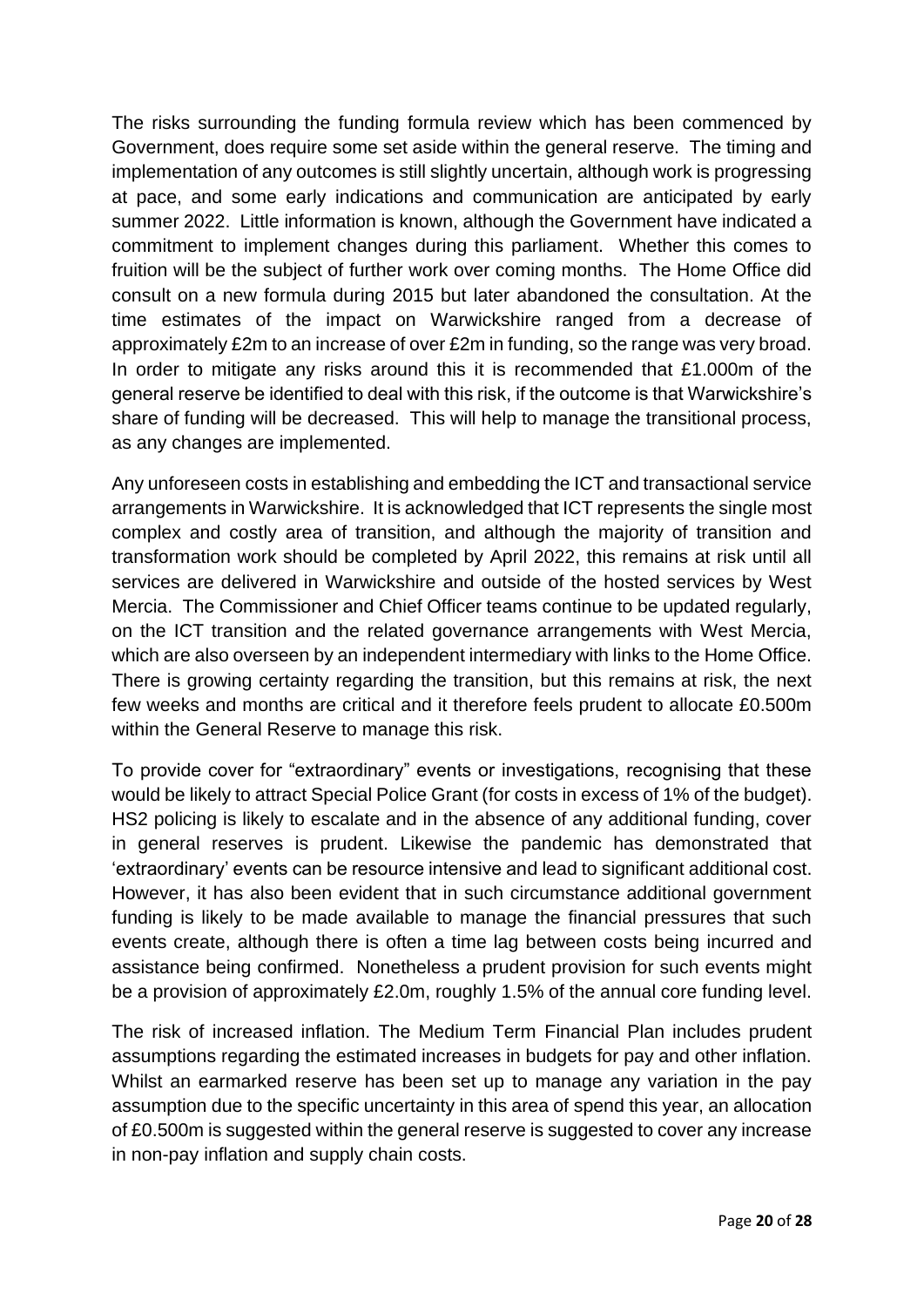The risks surrounding the funding formula review which has been commenced by Government, does require some set aside within the general reserve. The timing and implementation of any outcomes is still slightly uncertain, although work is progressing at pace, and some early indications and communication are anticipated by early summer 2022. Little information is known, although the Government have indicated a commitment to implement changes during this parliament. Whether this comes to fruition will be the subject of further work over coming months. The Home Office did consult on a new formula during 2015 but later abandoned the consultation. At the time estimates of the impact on Warwickshire ranged from a decrease of approximately £2m to an increase of over £2m in funding, so the range was very broad. In order to mitigate any risks around this it is recommended that £1.000m of the general reserve be identified to deal with this risk, if the outcome is that Warwickshire's share of funding will be decreased. This will help to manage the transitional process, as any changes are implemented.

Any unforeseen costs in establishing and embedding the ICT and transactional service arrangements in Warwickshire. It is acknowledged that ICT represents the single most complex and costly area of transition, and although the majority of transition and transformation work should be completed by April 2022, this remains at risk until all services are delivered in Warwickshire and outside of the hosted services by West Mercia. The Commissioner and Chief Officer teams continue to be updated regularly, on the ICT transition and the related governance arrangements with West Mercia, which are also overseen by an independent intermediary with links to the Home Office. There is growing certainty regarding the transition, but this remains at risk, the next few weeks and months are critical and it therefore feels prudent to allocate £0.500m within the General Reserve to manage this risk.

To provide cover for "extraordinary" events or investigations, recognising that these would be likely to attract Special Police Grant (for costs in excess of 1% of the budget). HS2 policing is likely to escalate and in the absence of any additional funding, cover in general reserves is prudent. Likewise the pandemic has demonstrated that 'extraordinary' events can be resource intensive and lead to significant additional cost. However, it has also been evident that in such circumstance additional government funding is likely to be made available to manage the financial pressures that such events create, although there is often a time lag between costs being incurred and assistance being confirmed. Nonetheless a prudent provision for such events might be a provision of approximately £2.0m, roughly 1.5% of the annual core funding level.

The risk of increased inflation. The Medium Term Financial Plan includes prudent assumptions regarding the estimated increases in budgets for pay and other inflation. Whilst an earmarked reserve has been set up to manage any variation in the pay assumption due to the specific uncertainty in this area of spend this year, an allocation of £0.500m is suggested within the general reserve is suggested to cover any increase in non-pay inflation and supply chain costs.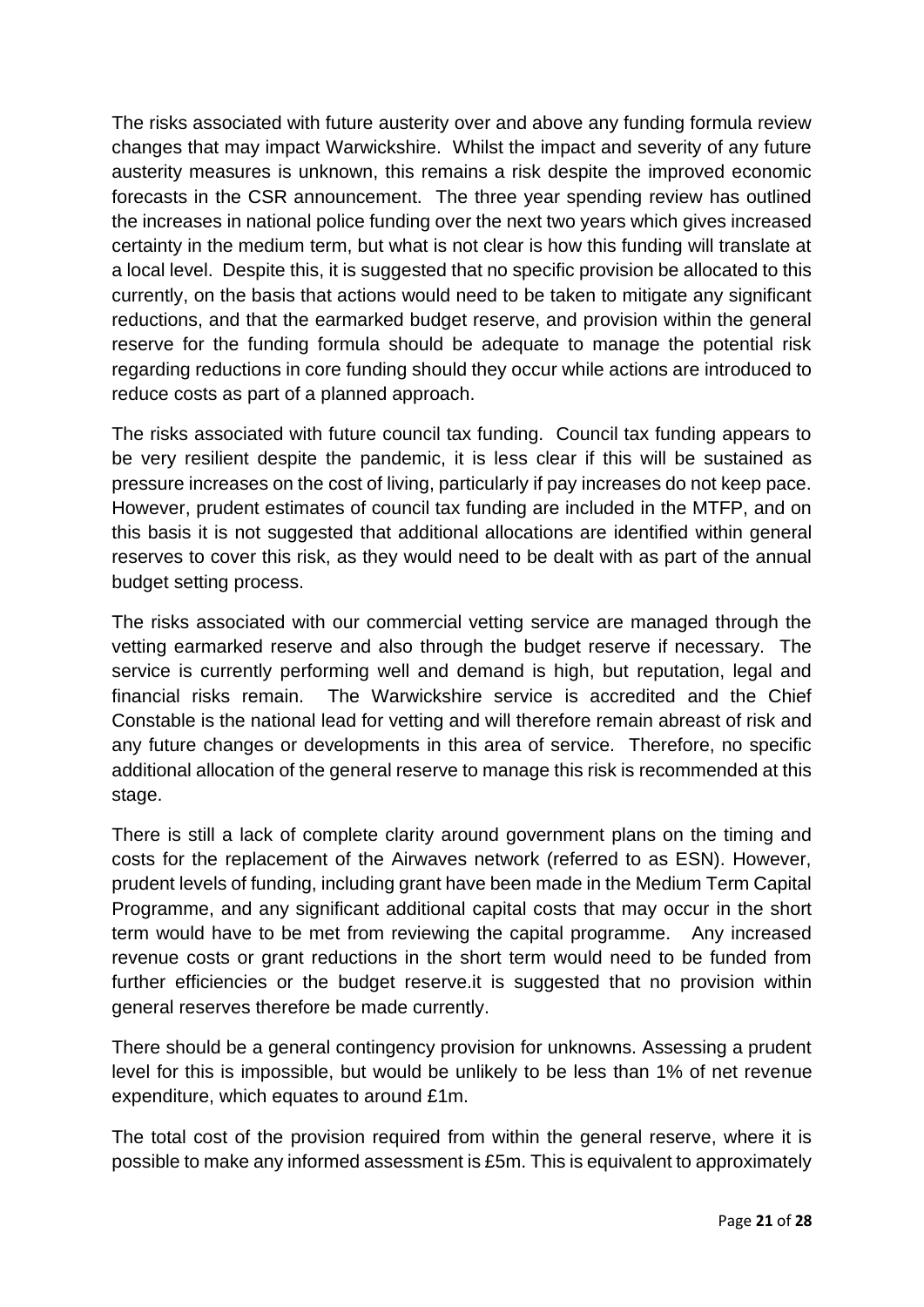The risks associated with future austerity over and above any funding formula review changes that may impact Warwickshire. Whilst the impact and severity of any future austerity measures is unknown, this remains a risk despite the improved economic forecasts in the CSR announcement. The three year spending review has outlined the increases in national police funding over the next two years which gives increased certainty in the medium term, but what is not clear is how this funding will translate at a local level. Despite this, it is suggested that no specific provision be allocated to this currently, on the basis that actions would need to be taken to mitigate any significant reductions, and that the earmarked budget reserve, and provision within the general reserve for the funding formula should be adequate to manage the potential risk regarding reductions in core funding should they occur while actions are introduced to reduce costs as part of a planned approach.

The risks associated with future council tax funding. Council tax funding appears to be very resilient despite the pandemic, it is less clear if this will be sustained as pressure increases on the cost of living, particularly if pay increases do not keep pace. However, prudent estimates of council tax funding are included in the MTFP, and on this basis it is not suggested that additional allocations are identified within general reserves to cover this risk, as they would need to be dealt with as part of the annual budget setting process.

The risks associated with our commercial vetting service are managed through the vetting earmarked reserve and also through the budget reserve if necessary. The service is currently performing well and demand is high, but reputation, legal and financial risks remain. The Warwickshire service is accredited and the Chief Constable is the national lead for vetting and will therefore remain abreast of risk and any future changes or developments in this area of service. Therefore, no specific additional allocation of the general reserve to manage this risk is recommended at this stage.

There is still a lack of complete clarity around government plans on the timing and costs for the replacement of the Airwaves network (referred to as ESN). However, prudent levels of funding, including grant have been made in the Medium Term Capital Programme, and any significant additional capital costs that may occur in the short term would have to be met from reviewing the capital programme. Any increased revenue costs or grant reductions in the short term would need to be funded from further efficiencies or the budget reserve.it is suggested that no provision within general reserves therefore be made currently.

There should be a general contingency provision for unknowns. Assessing a prudent level for this is impossible, but would be unlikely to be less than 1% of net revenue expenditure, which equates to around £1m.

The total cost of the provision required from within the general reserve, where it is possible to make any informed assessment is £5m. This is equivalent to approximately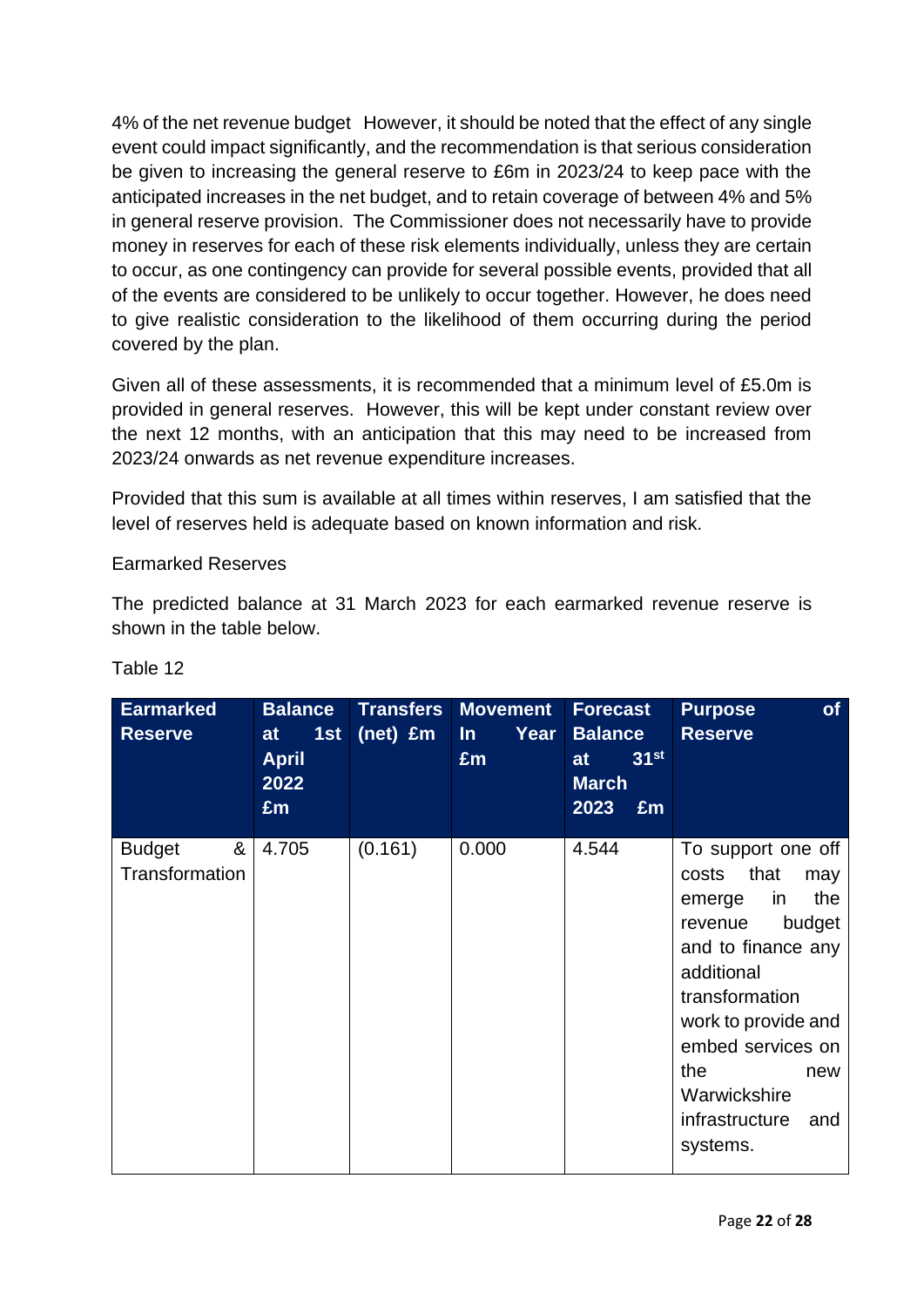4% of the net revenue budget However, it should be noted that the effect of any single event could impact significantly, and the recommendation is that serious consideration be given to increasing the general reserve to £6m in 2023/24 to keep pace with the anticipated increases in the net budget, and to retain coverage of between 4% and 5% in general reserve provision. The Commissioner does not necessarily have to provide money in reserves for each of these risk elements individually, unless they are certain to occur, as one contingency can provide for several possible events, provided that all of the events are considered to be unlikely to occur together. However, he does need to give realistic consideration to the likelihood of them occurring during the period covered by the plan.

Given all of these assessments, it is recommended that a minimum level of £5.0m is provided in general reserves. However, this will be kept under constant review over the next 12 months, with an anticipation that this may need to be increased from 2023/24 onwards as net revenue expenditure increases.

Provided that this sum is available at all times within reserves, I am satisfied that the level of reserves held is adequate based on known information and risk.

## Earmarked Reserves

The predicted balance at 31 March 2023 for each earmarked revenue reserve is shown in the table below.

| <b>Earmarked</b><br><b>Reserve</b>   | <b>Balance</b><br>1st<br>at<br><b>April</b><br>2022<br>£m | <b>Transfers</b><br>(net) £m | <b>Movement</b><br>Year<br>$\ln$<br>£m | <b>Forecast</b><br><b>Balance</b><br>31 <sup>st</sup><br>at<br><b>March</b><br>2023<br>£m | <b>of</b><br><b>Purpose</b><br><b>Reserve</b>                                                                                                                                                                                                               |
|--------------------------------------|-----------------------------------------------------------|------------------------------|----------------------------------------|-------------------------------------------------------------------------------------------|-------------------------------------------------------------------------------------------------------------------------------------------------------------------------------------------------------------------------------------------------------------|
| &<br><b>Budget</b><br>Transformation | 4.705                                                     | (0.161)                      | 0.000                                  | 4.544                                                                                     | To support one off<br>that<br>costs<br>may<br>in<br>the<br>emerge<br>budget<br>revenue<br>and to finance any<br>additional<br>transformation<br>work to provide and<br>embed services on<br>the<br>new<br>Warwickshire<br>infrastructure<br>and<br>systems. |

# Table 12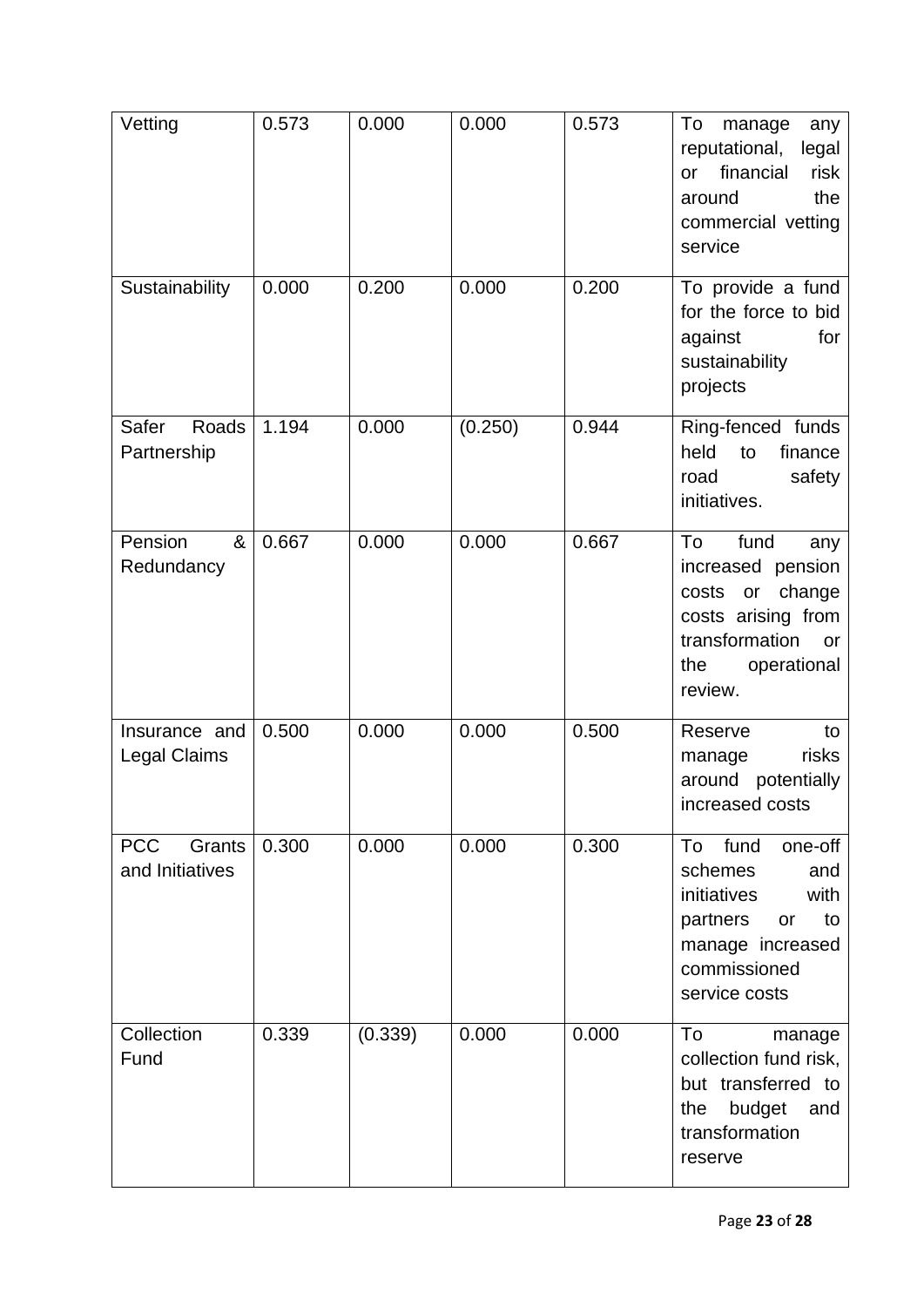| Vetting                                 | 0.573 | 0.000   | 0.000   | 0.573 | To<br>manage<br>any<br>reputational,<br>legal<br>financial<br>risk<br>or<br>the<br>around<br>commercial vetting<br>service                      |
|-----------------------------------------|-------|---------|---------|-------|-------------------------------------------------------------------------------------------------------------------------------------------------|
| Sustainability                          | 0.000 | 0.200   | 0.000   | 0.200 | To provide a fund<br>for the force to bid<br>against<br>for<br>sustainability<br>projects                                                       |
| Safer<br>Roads<br>Partnership           | 1.194 | 0.000   | (0.250) | 0.944 | Ring-fenced funds<br>held<br>finance<br>to<br>safety<br>road<br>initiatives.                                                                    |
| Pension<br>&<br>Redundancy              | 0.667 | 0.000   | 0.000   | 0.667 | To<br>fund<br>any<br>increased pension<br>costs or change<br>costs arising from<br>transformation<br><b>or</b><br>operational<br>the<br>review. |
| Insurance and<br><b>Legal Claims</b>    | 0.500 | 0.000   | 0.000   | 0.500 | Reserve<br>to<br>risks<br>manage<br>around<br>potentially<br>increased costs                                                                    |
| <b>PCC</b><br>Grants<br>and Initiatives | 0.300 | 0.000   | 0.000   | 0.300 | fund<br>To<br>one-off<br>schemes<br>and<br>initiatives<br>with<br>partners<br>to<br>or<br>manage increased<br>commissioned<br>service costs     |
| Collection<br>Fund                      | 0.339 | (0.339) | 0.000   | 0.000 | To<br>manage<br>collection fund risk,<br>but transferred to<br>budget<br>the<br>and<br>transformation<br>reserve                                |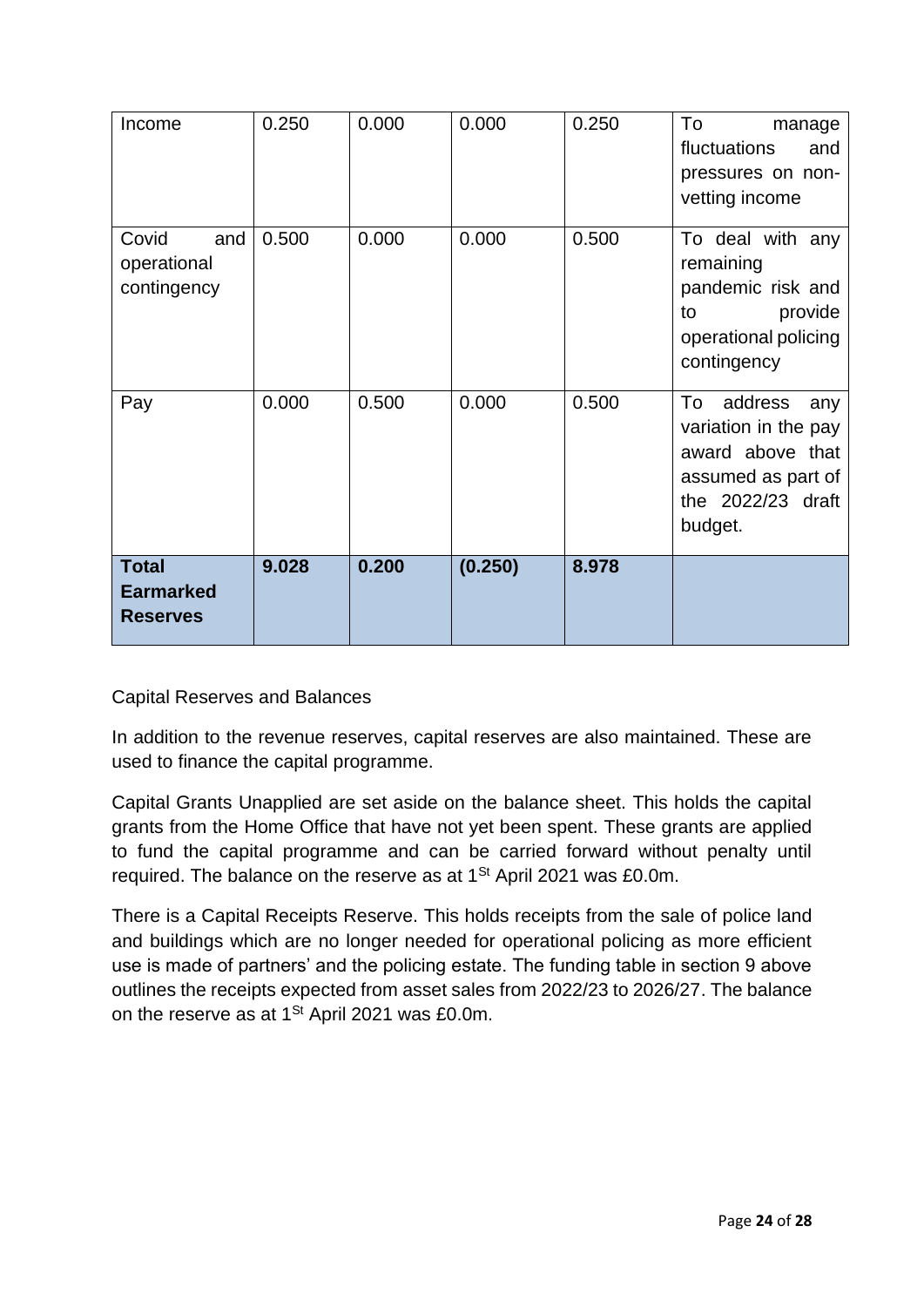| Income                                              | 0.250 | 0.000 | 0.000   | 0.250 | To<br>manage<br>fluctuations<br>and<br>pressures on non-<br>vetting income                                             |
|-----------------------------------------------------|-------|-------|---------|-------|------------------------------------------------------------------------------------------------------------------------|
| Covid<br>and<br>operational<br>contingency          | 0.500 | 0.000 | 0.000   | 0.500 | To deal with any<br>remaining<br>pandemic risk and<br>provide<br>to<br>operational policing<br>contingency             |
| Pay                                                 | 0.000 | 0.500 | 0.000   | 0.500 | To<br>address<br>any<br>variation in the pay<br>award above that<br>assumed as part of<br>the 2022/23 draft<br>budget. |
| <b>Total</b><br><b>Earmarked</b><br><b>Reserves</b> | 9.028 | 0.200 | (0.250) | 8.978 |                                                                                                                        |

Capital Reserves and Balances

In addition to the revenue reserves, capital reserves are also maintained. These are used to finance the capital programme.

Capital Grants Unapplied are set aside on the balance sheet. This holds the capital grants from the Home Office that have not yet been spent. These grants are applied to fund the capital programme and can be carried forward without penalty until required. The balance on the reserve as at 1<sup>St</sup> April 2021 was £0.0m.

There is a Capital Receipts Reserve. This holds receipts from the sale of police land and buildings which are no longer needed for operational policing as more efficient use is made of partners' and the policing estate. The funding table in section 9 above outlines the receipts expected from asset sales from 2022/23 to 2026/27. The balance on the reserve as at 1<sup>st</sup> April 2021 was £0.0m.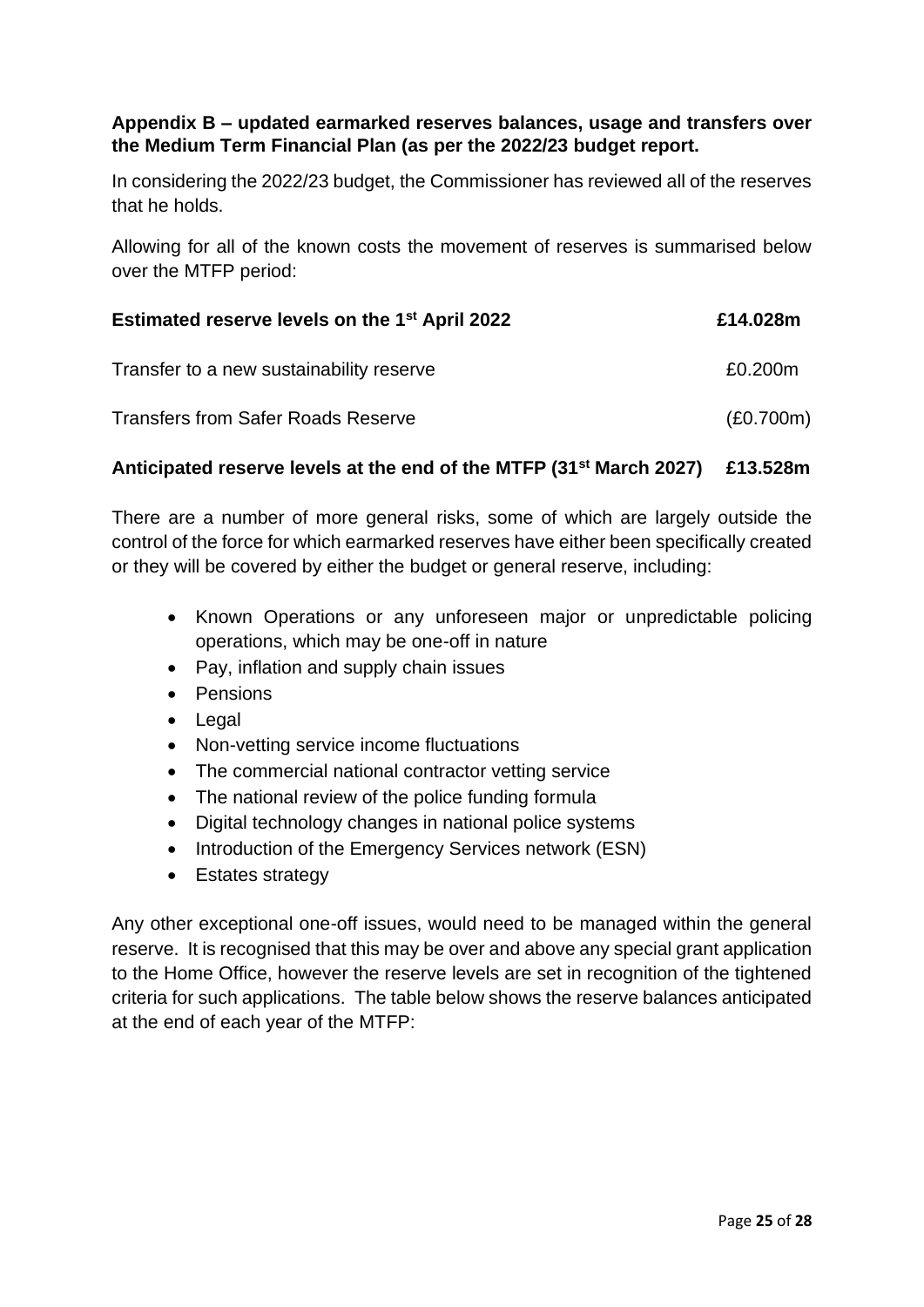## **Appendix B – updated earmarked reserves balances, usage and transfers over the Medium Term Financial Plan (as per the 2022/23 budget report.**

In considering the 2022/23 budget, the Commissioner has reviewed all of the reserves that he holds.

Allowing for all of the known costs the movement of reserves is summarised below over the MTFP period:

| Estimated reserve levels on the 1 <sup>st</sup> April 2022 | £14.028m  |
|------------------------------------------------------------|-----------|
| Transfer to a new sustainability reserve                   | £0.200m   |
| <b>Transfers from Safer Roads Reserve</b>                  | (E0.700m) |

## **Anticipated reserve levels at the end of the MTFP (31st March 2027) £13.528m**

There are a number of more general risks, some of which are largely outside the control of the force for which earmarked reserves have either been specifically created or they will be covered by either the budget or general reserve, including:

- Known Operations or any unforeseen major or unpredictable policing operations, which may be one-off in nature
- Pay, inflation and supply chain issues
- Pensions
- Legal
- Non-vetting service income fluctuations
- The commercial national contractor vetting service
- The national review of the police funding formula
- Digital technology changes in national police systems
- Introduction of the Emergency Services network (ESN)
- Estates strategy

Any other exceptional one-off issues, would need to be managed within the general reserve. It is recognised that this may be over and above any special grant application to the Home Office, however the reserve levels are set in recognition of the tightened criteria for such applications. The table below shows the reserve balances anticipated at the end of each year of the MTFP: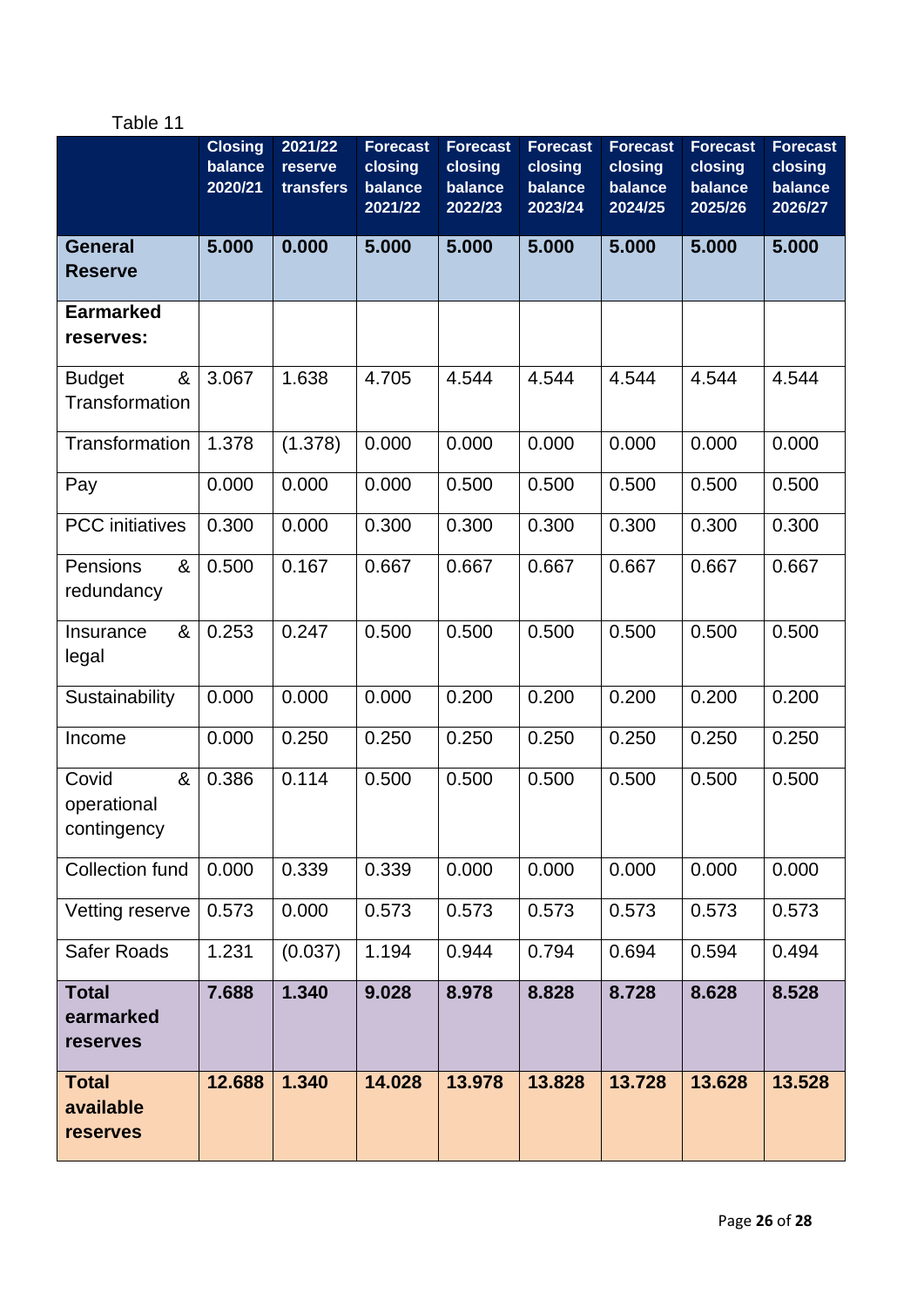# Table 11

|                                              | <b>Closing</b><br>balance<br>2020/21 | 2021/22<br>reserve<br>transfers | <b>Forecast</b><br>closing<br>balance<br>2021/22 | <b>Forecast</b><br>closing<br>balance<br>2022/23 | <b>Forecast</b><br>closing<br>balance<br>2023/24 | <b>Forecast</b><br>closing<br>balance<br>2024/25 | <b>Forecast</b><br>closing<br>balance<br>2025/26 | <b>Forecast</b><br>closing<br>balance<br>2026/27 |
|----------------------------------------------|--------------------------------------|---------------------------------|--------------------------------------------------|--------------------------------------------------|--------------------------------------------------|--------------------------------------------------|--------------------------------------------------|--------------------------------------------------|
| <b>General</b><br><b>Reserve</b>             | 5.000                                | 0.000                           | 5.000                                            | 5.000                                            | 5.000                                            | 5.000                                            | 5.000                                            | 5.000                                            |
| <b>Earmarked</b><br>reserves:                |                                      |                                 |                                                  |                                                  |                                                  |                                                  |                                                  |                                                  |
| &<br><b>Budget</b><br>Transformation         | 3.067                                | 1.638                           | 4.705                                            | 4.544                                            | 4.544                                            | 4.544                                            | 4.544                                            | 4.544                                            |
| Transformation                               | 1.378                                | (1.378)                         | 0.000                                            | 0.000                                            | 0.000                                            | 0.000                                            | 0.000                                            | 0.000                                            |
| Pay                                          | 0.000                                | 0.000                           | 0.000                                            | 0.500                                            | 0.500                                            | 0.500                                            | 0.500                                            | 0.500                                            |
| <b>PCC</b> initiatives                       | 0.300                                | 0.000                           | 0.300                                            | 0.300                                            | 0.300                                            | 0.300                                            | 0.300                                            | 0.300                                            |
| Pensions<br>&<br>redundancy                  | 0.500                                | 0.167                           | 0.667                                            | 0.667                                            | 0.667                                            | 0.667                                            | 0.667                                            | 0.667                                            |
| Insurance<br>&<br>legal                      | 0.253                                | 0.247                           | 0.500                                            | 0.500                                            | 0.500                                            | 0.500                                            | 0.500                                            | 0.500                                            |
| Sustainability                               | 0.000                                | 0.000                           | 0.000                                            | 0.200                                            | 0.200                                            | 0.200                                            | 0.200                                            | 0.200                                            |
| Income                                       | 0.000                                | 0.250                           | 0.250                                            | 0.250                                            | 0.250                                            | 0.250                                            | 0.250                                            | 0.250                                            |
| Covid<br>&<br>operational<br>contingency     | 0.386                                | 0.114                           | 0.500                                            | 0.500                                            | 0.500                                            | 0.500                                            | 0.500                                            | 0.500                                            |
| <b>Collection fund</b>                       | 0.000                                | 0.339                           | 0.339                                            | 0.000                                            | 0.000                                            | 0.000                                            | 0.000                                            | 0.000                                            |
| Vetting reserve                              | 0.573                                | 0.000                           | 0.573                                            | 0.573                                            | 0.573                                            | 0.573                                            | 0.573                                            | 0.573                                            |
| Safer Roads                                  | 1.231                                | (0.037)                         | 1.194                                            | 0.944                                            | 0.794                                            | 0.694                                            | 0.594                                            | 0.494                                            |
| <b>Total</b><br>earmarked<br>reserves        | 7.688                                | 1.340                           | 9.028                                            | 8.978                                            | 8.828                                            | 8.728                                            | 8.628                                            | 8.528                                            |
| <b>Total</b><br>available<br><b>reserves</b> | 12.688                               | 1.340                           | 14.028                                           | 13.978                                           | 13.828                                           | 13.728                                           | 13.628                                           | 13.528                                           |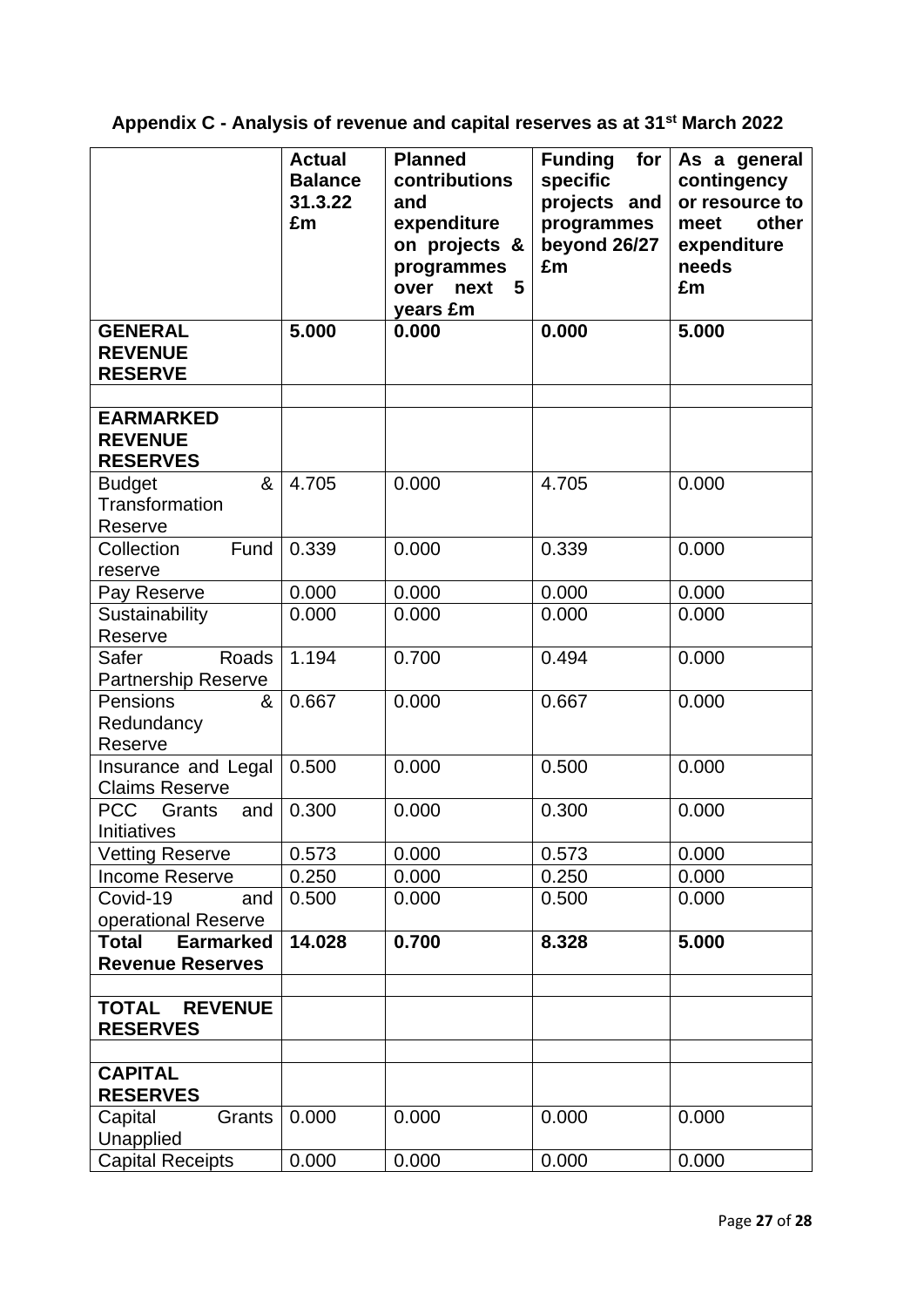**Appendix C - Analysis of revenue and capital reserves as at 31st March 2022**

|                                                             | <b>Actual</b><br><b>Balance</b><br>31.3.22<br>£m | <b>Planned</b><br>contributions<br>and<br>expenditure<br>on projects &<br>programmes<br>5<br>over<br>next<br>years £m | for<br><b>Funding</b><br>specific<br>projects and<br>programmes<br>beyond 26/27<br>£m | As a general<br>contingency<br>or resource to<br>other<br>meet<br>expenditure<br>needs<br>£m |
|-------------------------------------------------------------|--------------------------------------------------|-----------------------------------------------------------------------------------------------------------------------|---------------------------------------------------------------------------------------|----------------------------------------------------------------------------------------------|
| <b>GENERAL</b><br><b>REVENUE</b><br><b>RESERVE</b>          | 5.000                                            | 0.000                                                                                                                 | 0.000                                                                                 | 5.000                                                                                        |
| <b>EARMARKED</b><br><b>REVENUE</b><br><b>RESERVES</b>       |                                                  |                                                                                                                       |                                                                                       |                                                                                              |
| &<br><b>Budget</b><br>Transformation<br>Reserve             | 4.705                                            | 0.000                                                                                                                 | 4.705                                                                                 | 0.000                                                                                        |
| Fund<br>Collection<br>reserve                               | 0.339                                            | 0.000                                                                                                                 | 0.339                                                                                 | 0.000                                                                                        |
| Pay Reserve                                                 | 0.000                                            | 0.000                                                                                                                 | 0.000                                                                                 | 0.000                                                                                        |
| Sustainability<br>Reserve                                   | 0.000                                            | 0.000                                                                                                                 | 0.000                                                                                 | 0.000                                                                                        |
| Safer<br>Roads<br><b>Partnership Reserve</b>                | 1.194                                            | 0.700                                                                                                                 | 0.494                                                                                 | 0.000                                                                                        |
| Pensions<br>&<br>Redundancy<br>Reserve                      | 0.667                                            | 0.000                                                                                                                 | 0.667                                                                                 | 0.000                                                                                        |
| Insurance and Legal<br><b>Claims Reserve</b>                | 0.500                                            | 0.000                                                                                                                 | 0.500                                                                                 | 0.000                                                                                        |
| <b>PCC</b><br>Grants<br>and<br><b>Initiatives</b>           | 0.300                                            | 0.000                                                                                                                 | 0.300                                                                                 | 0.000                                                                                        |
| <b>Vetting Reserve</b>                                      | 0.573                                            | 0.000                                                                                                                 | 0.573                                                                                 | 0.000                                                                                        |
| <b>Income Reserve</b>                                       | 0.250                                            | 0.000                                                                                                                 | 0.250                                                                                 | 0.000                                                                                        |
| Covid-19<br>and<br>operational Reserve                      | 0.500                                            | 0.000                                                                                                                 | 0.500                                                                                 | 0.000                                                                                        |
| <b>Total</b><br><b>Earmarked</b><br><b>Revenue Reserves</b> | 14.028                                           | 0.700                                                                                                                 | 8.328                                                                                 | 5.000                                                                                        |
| <b>TOTAL</b><br><b>REVENUE</b><br><b>RESERVES</b>           |                                                  |                                                                                                                       |                                                                                       |                                                                                              |
| <b>CAPITAL</b>                                              |                                                  |                                                                                                                       |                                                                                       |                                                                                              |
| <b>RESERVES</b>                                             |                                                  |                                                                                                                       |                                                                                       |                                                                                              |
| Capital<br>Grants<br>Unapplied                              | 0.000                                            | 0.000                                                                                                                 | 0.000                                                                                 | 0.000                                                                                        |
| <b>Capital Receipts</b>                                     | 0.000                                            | 0.000                                                                                                                 | 0.000                                                                                 | 0.000                                                                                        |